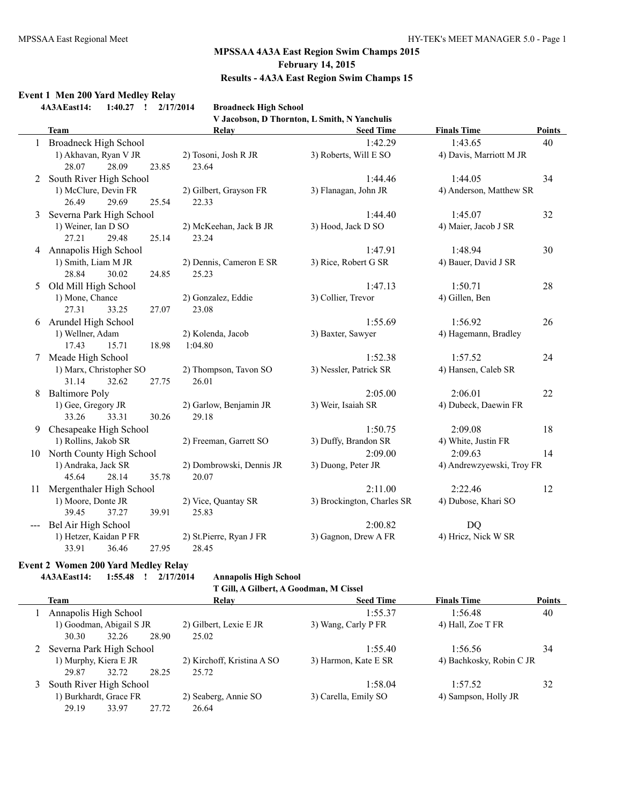#### **Event 1 Men 200 Yard Medley Relay**

**4A3AEast14: 1:40.27 ! 2/17/2014 Broadneck High School**

| <b>Broadneck High School</b>                 |  |
|----------------------------------------------|--|
| V Jacobson, D Thornton, L Smith, N Yanchulis |  |

|    | <b>Team</b>                 | Relay                    | <b>Seed Time</b>           | <b>Finals Time</b>        | <b>Points</b> |
|----|-----------------------------|--------------------------|----------------------------|---------------------------|---------------|
|    | Broadneck High School       |                          | 1:42.29                    | 1:43.65                   | 40            |
|    | 1) Akhavan, Ryan V JR       | 2) Tosoni, Josh R JR     | 3) Roberts, Will E SO      | 4) Davis, Marriott M JR   |               |
|    | 28.07<br>28.09<br>23.85     | 23.64                    |                            |                           |               |
| 2  | South River High School     |                          | 1:44.46                    | 1:44.05                   | 34            |
|    | 1) McClure, Devin FR        | 2) Gilbert, Grayson FR   | 3) Flanagan, John JR       | 4) Anderson, Matthew SR   |               |
|    | 26.49<br>29.69<br>25.54     | 22.33                    |                            |                           |               |
| 3  | Severna Park High School    |                          | 1:44.40                    | 1:45.07                   | 32            |
|    | 1) Weiner, Ian D SO         | 2) McKeehan, Jack B JR   | 3) Hood, Jack D SO         | 4) Maier, Jacob J SR      |               |
|    | 27.21<br>29.48<br>25.14     | 23.24                    |                            |                           |               |
| 4  | Annapolis High School       |                          | 1:47.91                    | 1:48.94                   | 30            |
|    | 1) Smith, Liam M JR         | 2) Dennis, Cameron E SR  | 3) Rice, Robert G SR       | 4) Bauer, David J SR      |               |
|    | 30.02<br>24.85<br>28.84     | 25.23                    |                            |                           |               |
| 5  | Old Mill High School        |                          | 1:47.13                    | 1:50.71                   | 28            |
|    | 1) Mone, Chance             | 2) Gonzalez, Eddie       | 3) Collier, Trevor         | 4) Gillen, Ben            |               |
|    | 27.31<br>33.25<br>27.07     | 23.08                    |                            |                           |               |
| 6  | Arundel High School         |                          | 1:55.69                    | 1:56.92                   | 26            |
|    | 1) Wellner, Adam            | 2) Kolenda, Jacob        | 3) Baxter, Sawyer          | 4) Hagemann, Bradley      |               |
|    | 17.43<br>15.71<br>18.98     | 1:04.80                  |                            |                           |               |
| 7  | Meade High School           |                          | 1:52.38                    | 1:57.52                   | 24            |
|    | 1) Marx, Christopher SO     | 2) Thompson, Tavon SO    | 3) Nessler, Patrick SR     | 4) Hansen, Caleb SR       |               |
|    | 31.14<br>32.62<br>27.75     | 26.01                    |                            |                           |               |
| 8  | <b>Baltimore Poly</b>       |                          | 2:05.00                    | 2:06.01                   | 22            |
|    | 1) Gee, Gregory JR          | 2) Garlow, Benjamin JR   | 3) Weir, Isaiah SR         | 4) Dubeck, Daewin FR      |               |
|    | 33.26<br>33.31<br>30.26     | 29.18                    |                            |                           |               |
| 9  | Chesapeake High School      |                          | 1:50.75                    | 2:09.08                   | 18            |
|    | 1) Rollins, Jakob SR        | 2) Freeman, Garrett SO   | 3) Duffy, Brandon SR       | 4) White, Justin FR       |               |
|    | 10 North County High School |                          | 2:09.00                    | 2:09.63                   | 14            |
|    | 1) Andraka, Jack SR         | 2) Dombrowski, Dennis JR | 3) Duong, Peter JR         | 4) Andrewzyewski, Troy FR |               |
|    | 45.64<br>28.14<br>35.78     | 20.07                    |                            |                           |               |
| 11 | Mergenthaler High School    |                          | 2:11.00                    | 2:22.46                   | 12            |
|    | 1) Moore, Donte JR          | 2) Vice, Quantay SR      | 3) Brockington, Charles SR | 4) Dubose, Khari SO       |               |
|    | 39.45<br>37.27<br>39.91     | 25.83                    |                            |                           |               |
|    | Bel Air High School         |                          | 2:00.82                    | <b>DQ</b>                 |               |
|    | 1) Hetzer, Kaidan P FR      | 2) St.Pierre, Ryan J FR  | 3) Gagnon, Drew A FR       | 4) Hricz, Nick W SR       |               |
|    | 33.91<br>36.46<br>27.95     | 28.45                    |                            |                           |               |

#### **Event 2 Women 200 Yard Medley Relay**

**4A3AEast14: 1:55.48 ! 2/17/2014 Annapolis High School**

 $\overline{\phantom{0}}$ 

**T Gill, A Gilbert, A Goodman, M Cissel**

| Team                       |       | Relay                      | <b>Seed Time</b>     | <b>Finals Time</b>       | <b>Points</b> |
|----------------------------|-------|----------------------------|----------------------|--------------------------|---------------|
| Annapolis High School      |       |                            | 1:55.37              | 1:56.48                  | 40            |
| 1) Goodman, Abigail S JR   |       | 2) Gilbert, Lexie E JR     | 3) Wang, Carly P FR  | 4) Hall, Zoe T FR        |               |
| 30.30<br>32.26             | 28.90 | 25.02                      |                      |                          |               |
| 2 Severna Park High School |       |                            | 1:55.40              | 1:56.56                  | 34            |
| 1) Murphy, Kiera E JR      |       | 2) Kirchoff, Kristina A SO | 3) Harmon, Kate E SR | 4) Bachkosky, Robin C JR |               |
| 32.72<br>29.87             | 28.25 | 25.72                      |                      |                          |               |
| South River High School    |       |                            | 1:58.04              | 1:57.52                  | 32            |
| 1) Burkhardt, Grace FR     |       | 2) Seaberg, Annie SO       | 3) Carella, Emily SO | 4) Sampson, Holly JR     |               |
| 29.19<br>33.97             | 27.72 | 26.64                      |                      |                          |               |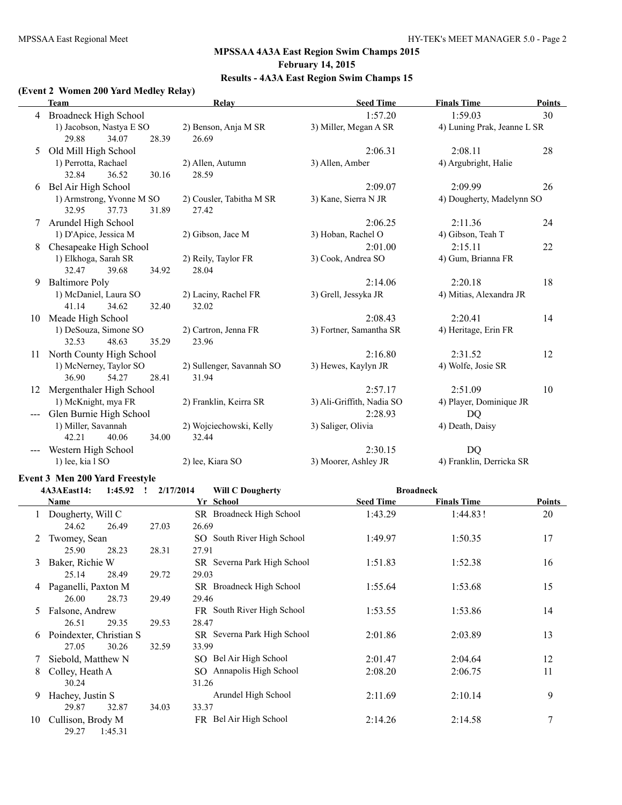$\overline{a}$ 

# **MPSSAA 4A3A East Region Swim Champs 2015 February 14, 2015 Results - 4A3A East Region Swim Champs 15**

#### **(Event 2 Women 200 Yard Medley Relay)**

|    | <b>Team</b>                  | <b>Relay</b>              | <b>Seed Time</b>          | <b>Finals Time</b>          | <b>Points</b> |
|----|------------------------------|---------------------------|---------------------------|-----------------------------|---------------|
| 4  | <b>Broadneck High School</b> |                           | 1:57.20                   | 1:59.03                     | 30            |
|    | 1) Jacobson, Nastya E SO     | 2) Benson, Anja M SR      | 3) Miller, Megan A SR     | 4) Luning Prak, Jeanne L SR |               |
|    | 29.88<br>34.07<br>28.39      | 26.69                     |                           |                             |               |
| 5. | Old Mill High School         |                           | 2:06.31                   | 2:08.11                     | 28            |
|    | 1) Perrotta, Rachael         | 2) Allen, Autumn          | 3) Allen, Amber           | 4) Argubright, Halie        |               |
|    | 32.84<br>36.52<br>30.16      | 28.59                     |                           |                             |               |
| 6  | Bel Air High School          |                           | 2:09.07                   | 2:09.99                     | 26            |
|    | 1) Armstrong, Yvonne M SO    | 2) Cousler, Tabitha M SR  | 3) Kane, Sierra N JR      | 4) Dougherty, Madelynn SO   |               |
|    | 32.95<br>37.73<br>31.89      | 27.42                     |                           |                             |               |
| 7  | Arundel High School          |                           | 2:06.25                   | 2:11.36                     | 24            |
|    | 1) D'Apice, Jessica M        | 2) Gibson, Jace M         | 3) Hoban, Rachel O        | 4) Gibson, Teah T           |               |
| 8  | Chesapeake High School       |                           | 2:01.00                   | 2:15.11                     | 22            |
|    | 1) Elkhoga, Sarah SR         | 2) Reily, Taylor FR       | 3) Cook, Andrea SO        | 4) Gum, Brianna FR          |               |
|    | 32.47<br>39.68<br>34.92      | 28.04                     |                           |                             |               |
| 9  | <b>Baltimore Poly</b>        |                           | 2:14.06                   | 2:20.18                     | 18            |
|    | 1) McDaniel, Laura SO        | 2) Laciny, Rachel FR      | 3) Grell, Jessyka JR      | 4) Mitias, Alexandra JR     |               |
|    | 41.14<br>34.62<br>32.40      | 32.02                     |                           |                             |               |
| 10 | Meade High School            |                           | 2:08.43                   | 2:20.41                     | 14            |
|    | 1) DeSouza, Simone SO        | 2) Cartron, Jenna FR      | 3) Fortner, Samantha SR   | 4) Heritage, Erin FR        |               |
|    | 32.53<br>48.63<br>35.29      | 23.96                     |                           |                             |               |
| 11 | North County High School     |                           | 2:16.80                   | 2:31.52                     | 12            |
|    | 1) McNerney, Taylor SO       | 2) Sullenger, Savannah SO | 3) Hewes, Kaylyn JR       | 4) Wolfe, Josie SR          |               |
|    | 36.90<br>54.27<br>28.41      | 31.94                     |                           |                             |               |
| 12 | Mergenthaler High School     |                           | 2:57.17                   | 2:51.09                     | 10            |
|    | 1) McKnight, mya FR          | 2) Franklin, Keirra SR    | 3) Ali-Griffith, Nadia SO | 4) Player, Dominique JR     |               |
|    | Glen Burnie High School      |                           | 2:28.93                   | <b>DQ</b>                   |               |
|    | 1) Miller, Savannah          | 2) Wojciechowski, Kelly   | 3) Saliger, Olivia        | 4) Death, Daisy             |               |
|    | 42.21<br>34.00<br>40.06      | 32.44                     |                           |                             |               |
|    | Western High School          |                           | 2:30.15                   | <b>DQ</b>                   |               |
|    | 1) lee, kia l SO             | 2) lee, Kiara SO          | 3) Moorer, Ashley JR      | 4) Franklin, Derricka SR    |               |

#### **Event 3 Men 200 Yard Freestyle**

|    | 4A3AEast14:             | 1:45.92 | 2/17/2014<br>$\mathbf{I}$ | <b>Will C Dougherty</b>     |                  | <b>Broadneck</b>   |        |
|----|-------------------------|---------|---------------------------|-----------------------------|------------------|--------------------|--------|
|    | <b>Name</b>             |         |                           | Yr School                   | <b>Seed Time</b> | <b>Finals Time</b> | Points |
|    | Dougherty, Will C       |         |                           | SR Broadneck High School    | 1:43.29          | 1:44.83!           | 20     |
|    | 24.62                   | 26.49   | 27.03                     | 26.69                       |                  |                    |        |
| 2  | Twomey, Sean            |         |                           | SO South River High School  | 1:49.97          | 1:50.35            | 17     |
|    | 25.90                   | 28.23   | 28.31                     | 27.91                       |                  |                    |        |
| 3  | Baker, Richie W         |         |                           | SR Severna Park High School | 1:51.83          | 1:52.38            | 16     |
|    | 25.14                   | 28.49   | 29.72                     | 29.03                       |                  |                    |        |
| 4  | Paganelli, Paxton M     |         |                           | SR Broadneck High School    | 1:55.64          | 1:53.68            | 15     |
|    | 26.00                   | 28.73   | 29.49                     | 29.46                       |                  |                    |        |
| 5. | Falsone, Andrew         |         |                           | FR South River High School  | 1:53.55          | 1:53.86            | 14     |
|    | 26.51                   | 29.35   | 29.53                     | 28.47                       |                  |                    |        |
| 6  | Poindexter, Christian S |         |                           | SR Severna Park High School | 2:01.86          | 2:03.89            | 13     |
|    | 27.05                   | 30.26   | 32.59                     | 33.99                       |                  |                    |        |
|    | Siebold, Matthew N      |         |                           | SO Bel Air High School      | 2:01.47          | 2:04.64            | 12     |
| 8  | Colley, Heath A         |         |                           | SO Annapolis High School    | 2:08.20          | 2:06.75            | 11     |
|    | 30.24                   |         |                           | 31.26                       |                  |                    |        |
| 9  | Hachey, Justin S        |         |                           | Arundel High School         | 2:11.69          | 2:10.14            | 9      |
|    | 29.87                   | 32.87   | 34.03                     | 33.37                       |                  |                    |        |
| 10 | Cullison, Brody M       |         |                           | FR Bel Air High School      | 2:14.26          | 2:14.58            | 7      |
|    | 29.27                   | 1:45.31 |                           |                             |                  |                    |        |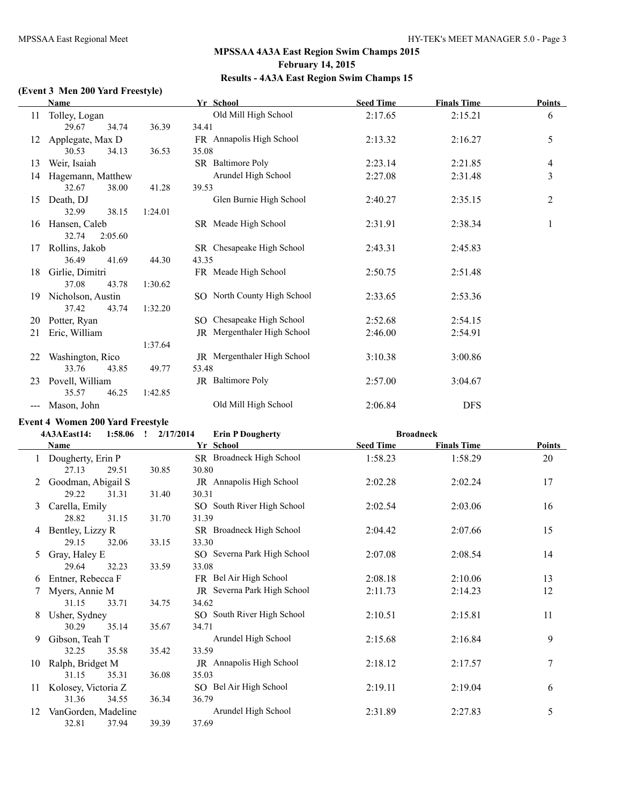#### **(Event 3 Men 200 Yard Freestyle)**

|    | Name              |         | Yr School                   | <b>Seed Time</b> | <b>Finals Time</b> | <b>Points</b>  |
|----|-------------------|---------|-----------------------------|------------------|--------------------|----------------|
| 11 | Tolley, Logan     |         | Old Mill High School        | 2:17.65          | 2:15.21            | 6              |
|    | 29.67<br>34.74    | 36.39   | 34.41                       |                  |                    |                |
| 12 | Applegate, Max D  |         | FR Annapolis High School    | 2:13.32          | 2:16.27            | 5              |
|    | 30.53<br>34.13    | 36.53   | 35.08                       |                  |                    |                |
| 13 | Weir, Isaiah      |         | SR Baltimore Poly           | 2:23.14          | 2:21.85            | 4              |
| 14 | Hagemann, Matthew |         | Arundel High School         | 2:27.08          | 2:31.48            | $\overline{3}$ |
|    | 32.67<br>38.00    | 41.28   | 39.53                       |                  |                    |                |
| 15 | Death, DJ         |         | Glen Burnie High School     | 2:40.27          | 2:35.15            | $\overline{c}$ |
|    | 32.99<br>38.15    | 1:24.01 |                             |                  |                    |                |
| 16 | Hansen, Caleb     |         | SR Meade High School        | 2:31.91          | 2:38.34            | 1              |
|    | 32.74<br>2:05.60  |         |                             |                  |                    |                |
| 17 | Rollins, Jakob    |         | SR Chesapeake High School   | 2:43.31          | 2:45.83            |                |
|    | 36.49<br>41.69    | 44.30   | 43.35                       |                  |                    |                |
| 18 | Girlie, Dimitri   |         | FR Meade High School        | 2:50.75          | 2:51.48            |                |
|    | 37.08<br>43.78    | 1:30.62 |                             |                  |                    |                |
| 19 | Nicholson, Austin |         | SO North County High School | 2:33.65          | 2:53.36            |                |
|    | 37.42<br>43.74    | 1:32.20 |                             |                  |                    |                |
| 20 | Potter, Ryan      |         | SO Chesapeake High School   | 2:52.68          | 2:54.15            |                |
| 21 | Eric, William     |         | JR Mergenthaler High School | 2:46.00          | 2:54.91            |                |
|    |                   | 1:37.64 |                             |                  |                    |                |
| 22 | Washington, Rico  |         | JR Mergenthaler High School | 3:10.38          | 3:00.86            |                |
|    | 33.76<br>43.85    | 49.77   | 53.48                       |                  |                    |                |
| 23 | Povell, William   |         | JR Baltimore Poly           | 2:57.00          | 3:04.67            |                |
|    | 35.57<br>46.25    | 1:42.85 |                             |                  |                    |                |
|    | Mason, John       |         | Old Mill High School        | 2:06.84          | <b>DFS</b>         |                |
|    |                   |         |                             |                  |                    |                |

#### **Event 4 Women 200 Yard Freestyle**

**4A3AEast14: 1:58.06 ! 2/17/2014 Erin P Dougherty Broadneck**

|    | Name                | Yr School |                             | <b>Seed Time</b> | <b>Finals Time</b> | <b>Points</b> |
|----|---------------------|-----------|-----------------------------|------------------|--------------------|---------------|
|    | Dougherty, Erin P   |           | SR Broadneck High School    | 1:58.23          | 1:58.29            | 20            |
|    | 27.13<br>29.51      | 30.85     | 30.80                       |                  |                    |               |
| 2  | Goodman, Abigail S  |           | JR Annapolis High School    | 2:02.28          | 2:02.24            | 17            |
|    | 29.22<br>31.31      | 31.40     | 30.31                       |                  |                    |               |
| 3  | Carella, Emily      |           | SO South River High School  | 2:02.54          | 2:03.06            | 16            |
|    | 28.82<br>31.15      | 31.70     | 31.39                       |                  |                    |               |
|    | Bentley, Lizzy R    |           | SR Broadneck High School    | 2:04.42          | 2:07.66            | 15            |
|    | 29.15<br>32.06      | 33.15     | 33.30                       |                  |                    |               |
| 5. | Gray, Haley E       |           | SO Severna Park High School | 2:07.08          | 2:08.54            | 14            |
|    | 29.64<br>32.23      | 33.59     | 33.08                       |                  |                    |               |
| 6  | Entner, Rebecca F   |           | FR Bel Air High School      | 2:08.18          | 2:10.06            | 13            |
|    | Myers, Annie M      |           | JR Severna Park High School | 2:11.73          | 2:14.23            | 12            |
|    | 31.15<br>33.71      | 34.75     | 34.62                       |                  |                    |               |
| 8  | Usher, Sydney       |           | SO South River High School  | 2:10.51          | 2:15.81            | 11            |
|    | 30.29<br>35.14      | 35.67     | 34.71                       |                  |                    |               |
| 9  | Gibson, Teah T      |           | Arundel High School         | 2:15.68          | 2:16.84            | 9             |
|    | 32.25<br>35.58      | 35.42     | 33.59                       |                  |                    |               |
| 10 | Ralph, Bridget M    |           | JR Annapolis High School    | 2:18.12          | 2:17.57            | 7             |
|    | 31.15<br>35.31      | 36.08     | 35.03                       |                  |                    |               |
| 11 | Kolosey, Victoria Z |           | SO Bel Air High School      | 2:19.11          | 2:19.04            | 6             |
|    | 31.36<br>34.55      | 36.34     | 36.79                       |                  |                    |               |
| 12 | VanGorden, Madeline |           | Arundel High School         | 2:31.89          | 2:27.83            | 5             |
|    | 32.81<br>37.94      | 39.39     | 37.69                       |                  |                    |               |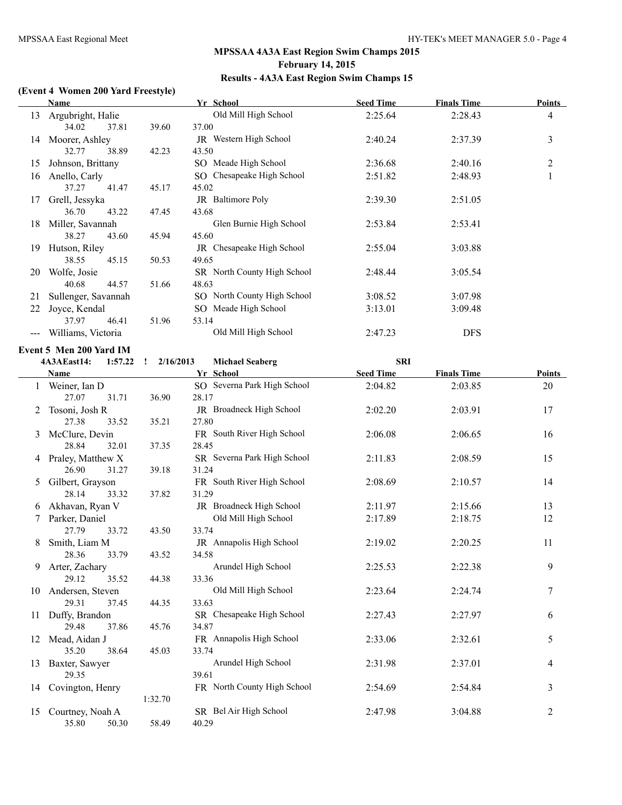#### **(Event 4 Women 200 Yard Freestyle)**

|    | Name                |       | Yr School |                               | <b>Seed Time</b> | <b>Finals Time</b> | Points         |  |
|----|---------------------|-------|-----------|-------------------------------|------------------|--------------------|----------------|--|
| 13 | Argubright, Halie   |       |           | Old Mill High School          | 2:25.64          | 2:28.43            | 4              |  |
|    | 34.02               | 37.81 | 39.60     | 37.00                         |                  |                    |                |  |
| 14 | Moorer, Ashley      |       |           | <b>JR</b> Western High School | 2:40.24          | 2:37.39            | 3              |  |
|    | 32.77               | 38.89 | 42.23     | 43.50                         |                  |                    |                |  |
| 15 | Johnson, Brittany   |       |           | SO Meade High School          | 2:36.68          | 2:40.16            | $\overline{2}$ |  |
| 16 | Anello, Carly       |       |           | SO Chesapeake High School     | 2:51.82          | 2:48.93            |                |  |
|    | 37.27               | 41.47 | 45.17     | 45.02                         |                  |                    |                |  |
| 17 | Grell, Jessyka      |       |           | JR Baltimore Poly             | 2:39.30          | 2:51.05            |                |  |
|    | 36.70               | 43.22 | 47.45     | 43.68                         |                  |                    |                |  |
| 18 | Miller, Savannah    |       |           | Glen Burnie High School       | 2:53.84          | 2:53.41            |                |  |
|    | 38.27               | 43.60 | 45.94     | 45.60                         |                  |                    |                |  |
| 19 | Hutson, Riley       |       |           | JR Chesapeake High School     | 2:55.04          | 3:03.88            |                |  |
|    | 38.55               | 45.15 | 50.53     | 49.65                         |                  |                    |                |  |
| 20 | Wolfe, Josie        |       |           | SR North County High School   | 2:48.44          | 3:05.54            |                |  |
|    | 40.68               | 44.57 | 51.66     | 48.63                         |                  |                    |                |  |
| 21 | Sullenger, Savannah |       |           | SO North County High School   | 3:08.52          | 3:07.98            |                |  |
| 22 | Joyce, Kendal       |       |           | SO Meade High School          | 3:13.01          | 3:09.48            |                |  |
|    | 37.97               | 46.41 | 51.96     | 53.14                         |                  |                    |                |  |
|    | Williams, Victoria  |       |           | Old Mill High School          | 2:47.23          | <b>DFS</b>         |                |  |
|    |                     |       |           |                               |                  |                    |                |  |

#### **Event 5 Men 200 Yard IM**

L

|    | 1:57.22<br>4A3AEast14: | 2/16/2013<br>$\mathbf{r}$ | <b>Michael Seaberg</b>      | <b>SRI</b>       |                    |        |
|----|------------------------|---------------------------|-----------------------------|------------------|--------------------|--------|
|    | Name                   |                           | Yr School                   | <b>Seed Time</b> | <b>Finals Time</b> | Points |
| 1  | Weiner, Ian D          |                           | SO Severna Park High School | 2:04.82          | 2:03.85            | 20     |
|    | 27.07<br>31.71         | 36.90                     | 28.17                       |                  |                    |        |
| 2  | Tosoni, Josh R         |                           | JR Broadneck High School    | 2:02.20          | 2:03.91            | 17     |
|    | 27.38<br>33.52         | 35.21                     | 27.80                       |                  |                    |        |
| 3  | McClure, Devin         |                           | FR South River High School  | 2:06.08          | 2:06.65            | 16     |
|    | 28.84<br>32.01         | 37.35                     | 28.45                       |                  |                    |        |
|    | Praley, Matthew X      |                           | SR Severna Park High School | 2:11.83          | 2:08.59            | 15     |
|    | 26.90<br>31.27         | 39.18                     | 31.24                       |                  |                    |        |
| 5  | Gilbert, Grayson       |                           | FR South River High School  | 2:08.69          | 2:10.57            | 14     |
|    | 28.14<br>33.32         | 37.82                     | 31.29                       |                  |                    |        |
| 6  | Akhavan, Ryan V        |                           | JR Broadneck High School    | 2:11.97          | 2:15.66            | 13     |
|    | Parker, Daniel         |                           | Old Mill High School        | 2:17.89          | 2:18.75            | 12     |
|    | 27.79<br>33.72         | 43.50                     | 33.74                       |                  |                    |        |
| 8  | Smith, Liam M          |                           | JR Annapolis High School    | 2:19.02          | 2:20.25            | 11     |
|    | 28.36<br>33.79         | 43.52                     | 34.58                       |                  |                    |        |
| 9. | Arter, Zachary         |                           | Arundel High School         | 2:25.53          | 2:22.38            | 9      |
|    | 29.12<br>35.52         | 44.38                     | 33.36                       |                  |                    |        |
| 10 | Andersen, Steven       |                           | Old Mill High School        | 2:23.64          | 2:24.74            | 7      |
|    | 29.31<br>37.45         | 44.35                     | 33.63                       |                  |                    |        |
| 11 | Duffy, Brandon         |                           | SR Chesapeake High School   | 2:27.43          | 2:27.97            | 6      |
|    | 29.48<br>37.86         | 45.76                     | 34.87                       |                  |                    |        |
| 12 | Mead, Aidan J          |                           | FR Annapolis High School    | 2:33.06          | 2:32.61            | 5      |
|    | 35.20<br>38.64         | 45.03                     | 33.74                       |                  |                    |        |
| 13 | Baxter, Sawyer         |                           | Arundel High School         | 2:31.98          | 2:37.01            | 4      |
|    | 29.35                  |                           | 39.61                       |                  |                    |        |
| 14 | Covington, Henry       |                           | FR North County High School | 2:54.69          | 2:54.84            | 3      |
|    |                        | 1:32.70                   |                             |                  |                    |        |
| 15 | Courtney, Noah A       |                           | SR Bel Air High School      | 2:47.98          | 3:04.88            | 2      |
|    | 35.80<br>50.30         | 58.49                     | 40.29                       |                  |                    |        |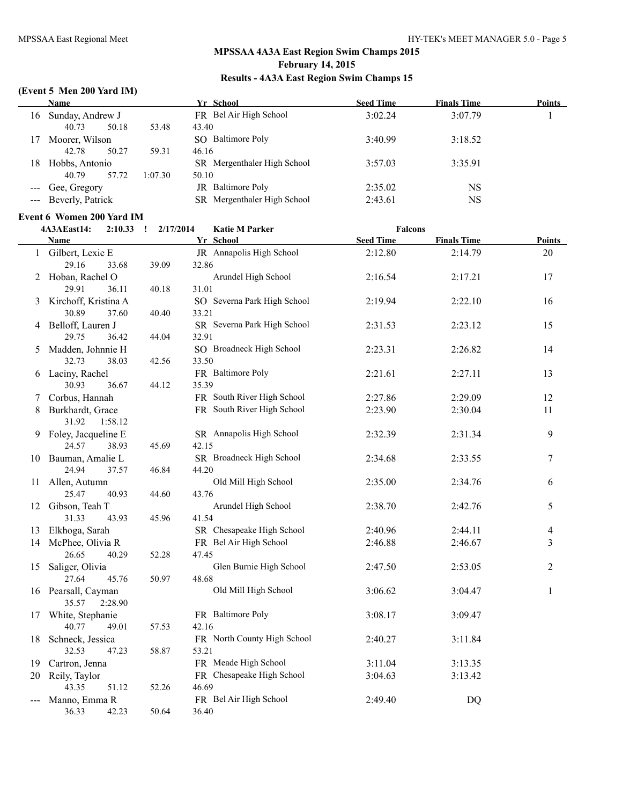#### **(Event 5 Men 200 Yard IM)**

|    | <b>Name</b>          | Yr School<br><b>Seed Time</b> |                             |         | <b>Finals Time</b> | <b>Points</b> |
|----|----------------------|-------------------------------|-----------------------------|---------|--------------------|---------------|
| 16 | Sunday, Andrew J     |                               | FR Bel Air High School      | 3:02.24 | 3:07.79            |               |
|    | 40.73<br>50.18       | 53.48                         | 43.40                       |         |                    |               |
| 17 | Moorer, Wilson       |                               | SO Baltimore Poly           | 3:40.99 | 3:18.52            |               |
|    | 50.27<br>42.78       | 59.31                         | 46.16                       |         |                    |               |
| 18 | Hobbs, Antonio       |                               | SR Mergenthaler High School | 3:57.03 | 3:35.91            |               |
|    | 57.72<br>40.79       | 1:07.30                       | 50.10                       |         |                    |               |
|    | --- Gee, Gregory     |                               | <b>JR</b> Baltimore Poly    | 2:35.02 | NS                 |               |
|    | --- Beverly, Patrick |                               | SR Mergenthaler High School | 2:43.61 | NS                 |               |

# **Event 6 Women 200 Yard IM**

|    | 4A3AEast14:<br>$2:10.33$ ! | 2/17/2014 | <b>Katie M Parker</b>       | <b>Falcons</b>   |                    |               |
|----|----------------------------|-----------|-----------------------------|------------------|--------------------|---------------|
|    | <b>Name</b>                |           | Yr School                   | <b>Seed Time</b> | <b>Finals Time</b> | <b>Points</b> |
|    | 1 Gilbert, Lexie E         |           | JR Annapolis High School    | 2:12.80          | 2:14.79            | 20            |
|    | 29.16<br>33.68             | 39.09     | 32.86                       |                  |                    |               |
|    | 2 Hoban, Rachel O          |           | Arundel High School         | 2:16.54          | 2:17.21            | 17            |
|    | 29.91<br>36.11             | 40.18     | 31.01                       |                  |                    |               |
|    | 3 Kirchoff, Kristina A     |           | SO Severna Park High School | 2:19.94          | 2:22.10            | 16            |
|    | 30.89<br>37.60             | 40.40     | 33.21                       |                  |                    |               |
|    | 4 Belloff, Lauren J        |           | SR Severna Park High School | 2:31.53          | 2:23.12            | 15            |
|    | 29.75<br>36.42             | 44.04     | 32.91                       |                  |                    |               |
|    | 5 Madden, Johnnie H        |           | SO Broadneck High School    | 2:23.31          | 2:26.82            | 14            |
|    | 32.73<br>38.03             | 42.56     | 33.50                       |                  |                    |               |
|    | 6 Laciny, Rachel           |           | FR Baltimore Poly           | 2:21.61          | 2:27.11            | 13            |
|    | 30.93<br>36.67             | 44.12     | 35.39                       |                  |                    |               |
| 7  | Corbus, Hannah             |           | FR South River High School  | 2:27.86          | 2:29.09            | 12            |
| 8  | Burkhardt, Grace           |           | FR South River High School  | 2:23.90          | 2:30.04            | 11            |
|    | 31.92<br>1:58.12           |           |                             |                  |                    |               |
|    | 9 Foley, Jacqueline E      |           | SR Annapolis High School    | 2:32.39          | 2:31.34            | 9             |
|    | 24.57<br>38.93             | 45.69     | 42.15                       |                  |                    |               |
|    | 10 Bauman, Amalie L        |           | SR Broadneck High School    | 2:34.68          | 2:33.55            | 7             |
|    | 24.94<br>37.57             | 46.84     | 44.20                       |                  |                    |               |
|    | 11 Allen, Autumn           |           | Old Mill High School        | 2:35.00          | 2:34.76            | 6             |
|    | 25.47<br>40.93             | 44.60     | 43.76                       |                  |                    |               |
|    | 12 Gibson, Teah T          |           | Arundel High School         | 2:38.70          | 2:42.76            | 5             |
|    | 31.33<br>43.93             | 45.96     | 41.54                       |                  |                    |               |
|    | 13 Elkhoga, Sarah          |           | SR Chesapeake High School   | 2:40.96          | 2:44.11            | 4             |
| 14 | McPhee, Olivia R           |           | FR Bel Air High School      | 2:46.88          | 2:46.67            | 3             |
|    | 26.65<br>40.29             | 52.28     | 47.45                       |                  |                    |               |
| 15 | Saliger, Olivia            |           | Glen Burnie High School     | 2:47.50          | 2:53.05            | 2             |
|    | 27.64<br>45.76             | 50.97     | 48.68                       |                  |                    |               |
|    | 16 Pearsall, Cayman        |           | Old Mill High School        | 3:06.62          | 3:04.47            | 1             |
|    | 35.57<br>2:28.90           |           |                             |                  |                    |               |
| 17 | White, Stephanie           |           | FR Baltimore Poly           | 3:08.17          | 3:09.47            |               |
|    | 40.77<br>49.01             | 57.53     | 42.16                       |                  |                    |               |
| 18 | Schneck, Jessica           |           | FR North County High School | 2:40.27          | 3:11.84            |               |
|    | 32.53<br>47.23             | 58.87     | 53.21                       |                  |                    |               |
| 19 | Cartron, Jenna             |           | FR Meade High School        | 3:11.04          | 3:13.35            |               |
| 20 | Reily, Taylor              |           | FR Chesapeake High School   | 3:04.63          | 3:13.42            |               |
|    | 43.35<br>51.12             | 52.26     | 46.69                       |                  |                    |               |
|    | Manno, Emma R              |           | FR Bel Air High School      | 2:49.40          | <b>DQ</b>          |               |
|    | 42.23<br>36.33             | 50.64     | 36.40                       |                  |                    |               |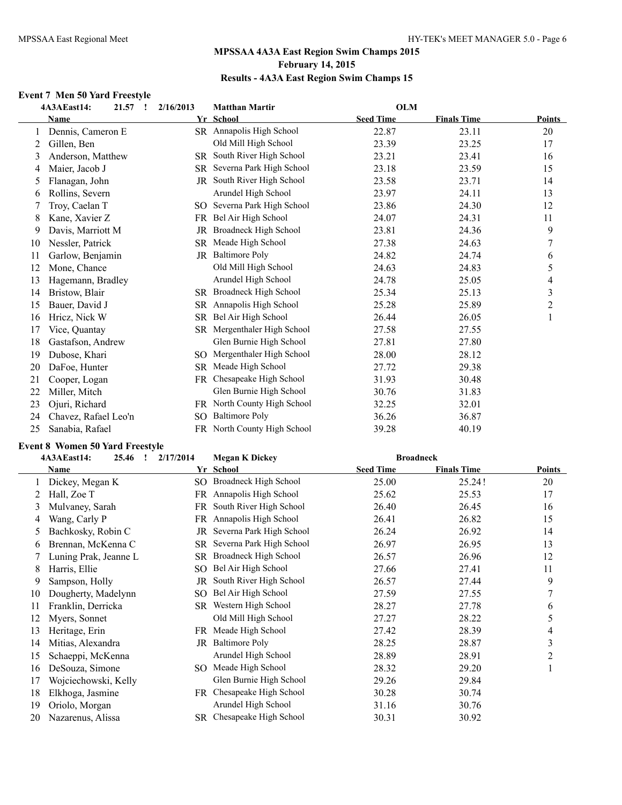#### **Event 7 Men 50 Yard Freestyle**

|    | 4A3AEast14:<br>21.57<br>1 | 2/16/2013 | <b>Matthan Martir</b>       | <b>OLM</b>       |                    |                  |
|----|---------------------------|-----------|-----------------------------|------------------|--------------------|------------------|
|    | <b>Name</b>               |           | Yr School                   | <b>Seed Time</b> | <b>Finals Time</b> | Points           |
|    | Dennis, Cameron E         |           | SR Annapolis High School    | 22.87            | 23.11              | 20               |
| 2  | Gillen, Ben               |           | Old Mill High School        | 23.39            | 23.25              | 17               |
| 3  | Anderson, Matthew         |           | SR South River High School  | 23.21            | 23.41              | 16               |
| 4  | Maier, Jacob J            | SR.       | Severna Park High School    | 23.18            | 23.59              | 15               |
| 5  | Flanagan, John            | JR        | South River High School     | 23.58            | 23.71              | 14               |
| 6  | Rollins, Severn           |           | Arundel High School         | 23.97            | 24.11              | 13               |
|    | Troy, Caelan T            |           | SO Severna Park High School | 23.86            | 24.30              | 12               |
| 8  | Kane, Xavier Z            | FR        | Bel Air High School         | 24.07            | 24.31              | 11               |
| 9  | Davis, Marriott M         | JR        | Broadneck High School       | 23.81            | 24.36              | 9                |
| 10 | Nessler, Patrick          | SR.       | Meade High School           | 27.38            | 24.63              | $\boldsymbol{7}$ |
| 11 | Garlow, Benjamin          | JR        | <b>Baltimore Poly</b>       | 24.82            | 24.74              | 6                |
| 12 | Mone, Chance              |           | Old Mill High School        | 24.63            | 24.83              | 5                |
| 13 | Hagemann, Bradley         |           | Arundel High School         | 24.78            | 25.05              | $\overline{4}$   |
| 14 | Bristow, Blair            | SR.       | Broadneck High School       | 25.34            | 25.13              | $\mathfrak{Z}$   |
| 15 | Bauer, David J            | SR.       | Annapolis High School       | 25.28            | 25.89              | $\overline{c}$   |
| 16 | Hricz, Nick W             | <b>SR</b> | Bel Air High School         | 26.44            | 26.05              |                  |
| 17 | Vice, Quantay             | SR.       | Mergenthaler High School    | 27.58            | 27.55              |                  |
| 18 | Gastafson, Andrew         |           | Glen Burnie High School     | 27.81            | 27.80              |                  |
| 19 | Dubose, Khari             | SO.       | Mergenthaler High School    | 28.00            | 28.12              |                  |
| 20 | DaFoe, Hunter             | <b>SR</b> | Meade High School           | 27.72            | 29.38              |                  |
| 21 | Cooper, Logan             |           | FR Chesapeake High School   | 31.93            | 30.48              |                  |
| 22 | Miller, Mitch             |           | Glen Burnie High School     | 30.76            | 31.83              |                  |
| 23 | Ojuri, Richard            |           | FR North County High School | 32.25            | 32.01              |                  |
| 24 | Chavez, Rafael Leo'n      | SO.       | <b>Baltimore Poly</b>       | 36.26            | 36.87              |                  |
| 25 | Sanabia, Rafael           |           | FR North County High School | 39.28            | 40.19              |                  |

#### **Event 8 Women 50 Yard Freestyle**

|    | 4A3AEast14:<br>25.46<br>$\mathbf{r}$ | 2/17/2014 | <b>Megan K Dickey</b>       | <b>Broadneck</b> |                    |               |
|----|--------------------------------------|-----------|-----------------------------|------------------|--------------------|---------------|
|    | Name                                 |           | Yr School                   | <b>Seed Time</b> | <b>Finals Time</b> | <b>Points</b> |
|    | Dickey, Megan K                      |           | SO Broadneck High School    | 25.00            | 25.24!             | 20            |
|    | Hall, Zoe T                          |           | FR Annapolis High School    | 25.62            | 25.53              | 17            |
| 3  | Mulvaney, Sarah                      | FR        | South River High School     | 26.40            | 26.45              | 16            |
| 4  | Wang, Carly P                        |           | FR Annapolis High School    | 26.41            | 26.82              | 15            |
| 5  | Bachkosky, Robin C                   | JR        | Severna Park High School    | 26.24            | 26.92              | 14            |
| 6  | Brennan, McKenna C                   |           | SR Severna Park High School | 26.97            | 26.95              | 13            |
|    | Luning Prak, Jeanne L                | SR        | Broadneck High School       | 26.57            | 26.96              | 12            |
| 8  | Harris, Ellie                        | SO        | Bel Air High School         | 27.66            | 27.41              | 11            |
| 9  | Sampson, Holly                       | JR        | South River High School     | 26.57            | 27.44              | 9             |
| 10 | Dougherty, Madelynn                  | SO.       | Bel Air High School         | 27.59            | 27.55              | 7             |
| 11 | Franklin, Derricka                   | SR.       | Western High School         | 28.27            | 27.78              | 6             |
| 12 | Myers, Sonnet                        |           | Old Mill High School        | 27.27            | 28.22              | 5             |
| 13 | Heritage, Erin                       | FR        | Meade High School           | 27.42            | 28.39              | 4             |
| 14 | Mitias, Alexandra                    | JR        | <b>Baltimore Poly</b>       | 28.25            | 28.87              | 3             |
| 15 | Schaeppi, McKenna                    |           | Arundel High School         | 28.89            | 28.91              | 2             |
| 16 | DeSouza, Simone                      | SO.       | Meade High School           | 28.32            | 29.20              |               |
| 17 | Wojciechowski, Kelly                 |           | Glen Burnie High School     | 29.26            | 29.84              |               |
| 18 | Elkhoga, Jasmine                     | FR        | Chesapeake High School      | 30.28            | 30.74              |               |
| 19 | Oriolo, Morgan                       |           | Arundel High School         | 31.16            | 30.76              |               |
| 20 | Nazarenus, Alissa                    |           | SR Chesapeake High School   | 30.31            | 30.92              |               |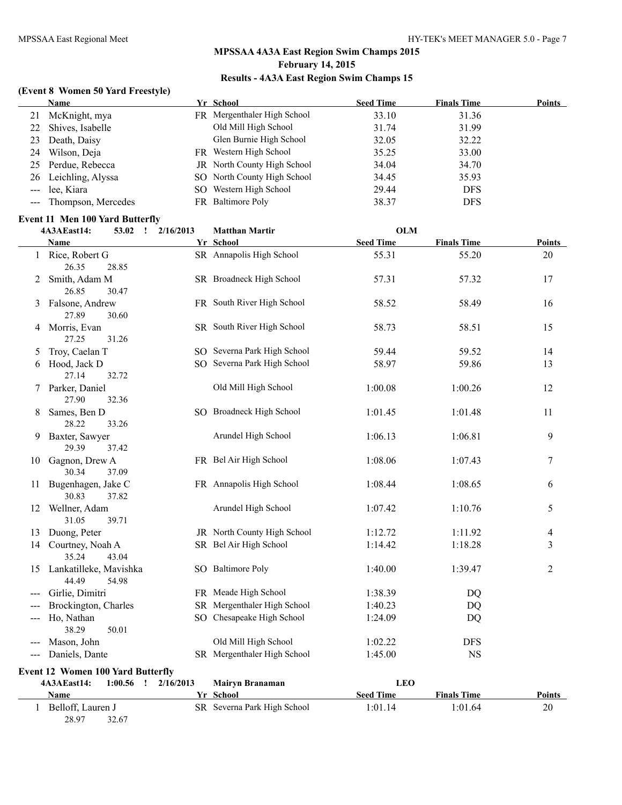#### **(Event 8 Women 50 Yard Freestyle)**

|    | Name                   | Yr School                   | <b>Seed Time</b> | <b>Finals Time</b> | <b>Points</b> |
|----|------------------------|-----------------------------|------------------|--------------------|---------------|
| 21 | McKnight, mya          | FR Mergenthaler High School | 33.10            | 31.36              |               |
| 22 | Shives, Isabelle       | Old Mill High School        | 31.74            | 31.99              |               |
|    | 23 Death, Daisy        | Glen Burnie High School     | 32.05            | 32.22              |               |
|    | 24 Wilson, Deja        | FR Western High School      | 35.25            | 33.00              |               |
|    | 25 Perdue, Rebecca     | JR North County High School | 34.04            | 34.70              |               |
|    | 26 Leichling, Alyssa   | SO North County High School | 34.45            | 35.93              |               |
|    | --- lee, Kiara         | SO Western High School      | 29.44            | <b>DFS</b>         |               |
|    | --- Thompson, Mercedes | FR Baltimore Poly           | 38.37            | <b>DFS</b>         |               |

#### **Event 11 Men 100 Yard Butterfly**

|                                         | 4A3AEast14:                              | 53.02<br>$\mathbf{I}$ | 2/16/2013 | <b>Matthan Martir</b>       | <b>OLM</b>       |                    |                |
|-----------------------------------------|------------------------------------------|-----------------------|-----------|-----------------------------|------------------|--------------------|----------------|
|                                         | Name                                     |                       |           | Yr School                   | <b>Seed Time</b> | <b>Finals Time</b> | <b>Points</b>  |
|                                         | 1 Rice, Robert G<br>26.35                | 28.85                 |           | SR Annapolis High School    | 55.31            | 55.20              | 20             |
| 2                                       | Smith, Adam M<br>26.85                   | 30.47                 |           | SR Broadneck High School    | 57.31            | 57.32              | 17             |
| 3                                       | Falsone, Andrew<br>27.89                 | 30.60                 |           | FR South River High School  | 58.52            | 58.49              | 16             |
| 4                                       | Morris, Evan<br>27.25                    | 31.26                 |           | SR South River High School  | 58.73            | 58.51              | 15             |
| 5                                       | Troy, Caelan T                           |                       |           | SO Severna Park High School | 59.44            | 59.52              | 14             |
| 6                                       | Hood, Jack D<br>27.14                    | 32.72                 |           | SO Severna Park High School | 58.97            | 59.86              | 13             |
|                                         | 7 Parker, Daniel<br>27.90                | 32.36                 |           | Old Mill High School        | 1:00.08          | 1:00.26            | 12             |
| 8                                       | Sames, Ben D<br>28.22                    | 33.26                 |           | SO Broadneck High School    | 1:01.45          | 1:01.48            | 11             |
| 9                                       | Baxter, Sawyer<br>29.39                  | 37.42                 |           | Arundel High School         | 1:06.13          | 1:06.81            | 9              |
|                                         | 10 Gagnon, Drew A<br>30.34               | 37.09                 |           | FR Bel Air High School      | 1:08.06          | 1:07.43            | 7              |
| 11                                      | Bugenhagen, Jake C<br>30.83              | 37.82                 |           | FR Annapolis High School    | 1:08.44          | 1:08.65            | 6              |
|                                         | 12 Wellner, Adam<br>31.05                | 39.71                 |           | Arundel High School         | 1:07.42          | 1:10.76            | 5              |
| 13                                      | Duong, Peter                             |                       |           | JR North County High School | 1:12.72          | 1:11.92            | 4              |
|                                         | 14 Courtney, Noah A<br>35.24             | 43.04                 |           | SR Bel Air High School      | 1:14.42          | 1:18.28            | 3              |
| 15                                      | Lankatilleke, Mavishka<br>44.49          | 54.98                 |           | SO Baltimore Poly           | 1:40.00          | 1:39.47            | $\overline{2}$ |
|                                         | Girlie, Dimitri                          |                       |           | FR Meade High School        | 1:38.39          | <b>DQ</b>          |                |
|                                         | Brockington, Charles                     |                       |           | SR Mergenthaler High School | 1:40.23          | <b>DQ</b>          |                |
| $---$                                   | Ho, Nathan<br>38.29                      | 50.01                 |           | SO Chesapeake High School   | 1:24.09          | DQ                 |                |
|                                         | Mason, John                              |                       |           | Old Mill High School        | 1:02.22          | <b>DFS</b>         |                |
| $---$                                   | Daniels, Dante                           |                       |           | SR Mergenthaler High School | 1:45.00          | <b>NS</b>          |                |
|                                         | <b>Event 12 Women 100 Yard Butterfly</b> |                       |           |                             |                  |                    |                |
| $1:00.56$ !<br>4A3AEast14:<br>2/16/2013 |                                          |                       |           | Mairyn Branaman             | <b>LEO</b>       |                    |                |
|                                         | Name                                     |                       |           | Yr School                   | <b>Seed Time</b> | <b>Finals Time</b> | Points         |
|                                         | 1 Belloff, Lauren J<br>28.97             | 32.67                 |           | SR Severna Park High School | 1:01.14          | 1:01.64            | 20             |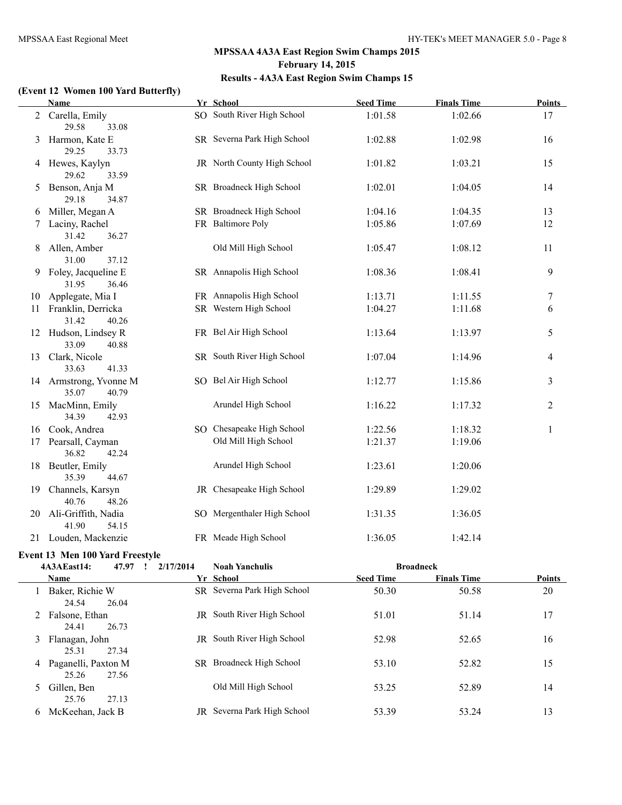#### **(Event 12 Women 100 Yard Butterfly)**

|    | Name                                     | Yr School                   | <b>Seed Time</b> | <b>Finals Time</b> | <b>Points</b>            |
|----|------------------------------------------|-----------------------------|------------------|--------------------|--------------------------|
| 2  | Carella, Emily<br>29.58<br>33.08         | SO South River High School  | 1:01.58          | 1:02.66            | 17                       |
| 3  | Harmon, Kate E<br>29.25<br>33.73         | SR Severna Park High School | 1:02.88          | 1:02.98            | 16                       |
| 4  | Hewes, Kaylyn<br>29.62<br>33.59          | JR North County High School | 1:01.82          | 1:03.21            | 15                       |
|    | Benson, Anja M<br>29.18<br>34.87         | SR Broadneck High School    | 1:02.01          | 1:04.05            | 14                       |
| 6  | Miller, Megan A                          | SR Broadneck High School    | 1:04.16          | 1:04.35            | 13                       |
| 7  | Laciny, Rachel<br>31.42<br>36.27         | FR Baltimore Poly           | 1:05.86          | 1:07.69            | 12                       |
| 8  | Allen, Amber<br>31.00<br>37.12           | Old Mill High School        | 1:05.47          | 1:08.12            | 11                       |
| 9  | Foley, Jacqueline E<br>31.95<br>36.46    | SR Annapolis High School    | 1:08.36          | 1:08.41            | 9                        |
| 10 | Applegate, Mia I                         | FR Annapolis High School    | 1:13.71          | 1:11.55            | $\tau$                   |
| 11 | Franklin, Derricka<br>31.42<br>40.26     | SR Western High School      | 1:04.27          | 1:11.68            | 6                        |
| 12 | Hudson, Lindsey R<br>33.09<br>40.88      | FR Bel Air High School      | 1:13.64          | 1:13.97            | 5                        |
| 13 | Clark, Nicole<br>33.63<br>41.33          | SR South River High School  | 1:07.04          | 1:14.96            | $\overline{\mathcal{A}}$ |
|    | 14 Armstrong, Yvonne M<br>35.07<br>40.79 | SO Bel Air High School      | 1:12.77          | 1:15.86            | $\mathfrak{Z}$           |
| 15 | MacMinn, Emily<br>34.39<br>42.93         | Arundel High School         | 1:16.22          | 1:17.32            | $\overline{2}$           |
| 16 | Cook, Andrea                             | SO Chesapeake High School   | 1:22.56          | 1:18.32            | 1                        |
| 17 | Pearsall, Cayman<br>36.82<br>42.24       | Old Mill High School        | 1:21.37          | 1:19.06            |                          |
| 18 | Beutler, Emily<br>35.39<br>44.67         | Arundel High School         | 1:23.61          | 1:20.06            |                          |
| 19 | Channels, Karsyn<br>40.76<br>48.26       | JR Chesapeake High School   | 1:29.89          | 1:29.02            |                          |
| 20 | Ali-Griffith, Nadia<br>41.90<br>54.15    | SO Mergenthaler High School | 1:31.35          | 1:36.05            |                          |
|    | 21 Louden, Mackenzie                     | FR Meade High School        | 1:36.05          | 1:42.14            |                          |

#### **Event 13 Men 100 Yard Freestyle**

|                | 4A3AEast14:                  | 47.97 | 2/17/2014 | <b>Noah Yanchulis</b>              | <b>Broadneck</b> |                    |               |
|----------------|------------------------------|-------|-----------|------------------------------------|------------------|--------------------|---------------|
|                | <b>Name</b>                  |       |           | Yr School                          | <b>Seed Time</b> | <b>Finals Time</b> | <b>Points</b> |
|                | Baker, Richie W<br>24.54     | 26.04 |           | SR Severna Park High School        | 50.30            | 50.58              | 20            |
|                | 2 Falsone, Ethan<br>24.41    | 26.73 | JR        | South River High School            | 51.01            | 51.14              | 17            |
| 3              | Flanagan, John<br>25.31      | 27.34 | JR        | South River High School            | 52.98            | 52.65              | 16            |
| 4              | Paganelli, Paxton M<br>25.26 | 27.56 |           | SR Broadneck High School           | 53.10            | 52.82              | 15            |
| 5 <sup>1</sup> | Gillen, Ben<br>25.76         | 27.13 |           | Old Mill High School               | 53.25            | 52.89              | 14            |
| 6              | McKeehan, Jack B             |       |           | <b>JR</b> Severna Park High School | 53.39            | 53.24              | 13            |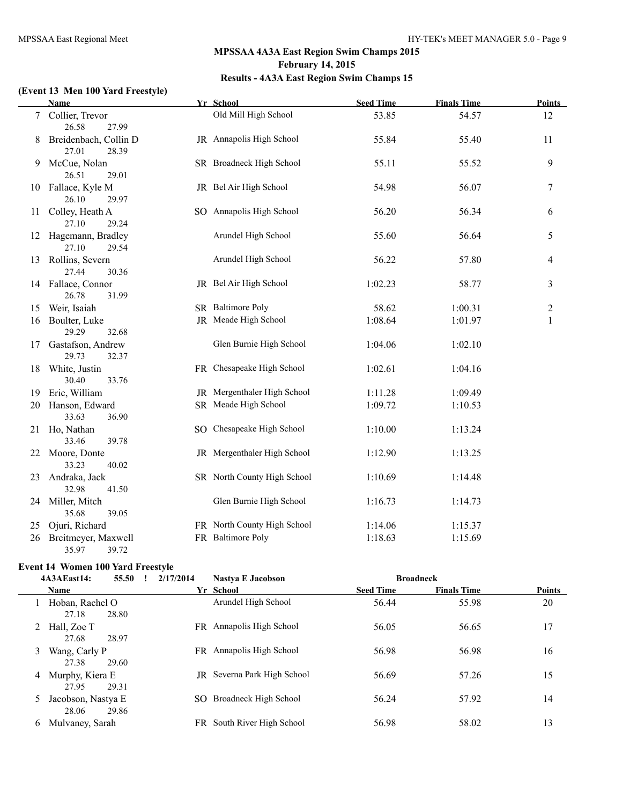# **(Event 13 Men 100 Yard Freestyle)**

|                 | <b>Name</b>                             | Yr School                   | <b>Seed Time</b> | <b>Finals Time</b> | <b>Points</b>  |
|-----------------|-----------------------------------------|-----------------------------|------------------|--------------------|----------------|
| $7\overline{ }$ | Collier, Trevor<br>26.58<br>27.99       | Old Mill High School        | 53.85            | 54.57              | 12             |
| 8               | Breidenbach, Collin D<br>27.01<br>28.39 | JR Annapolis High School    | 55.84            | 55.40              | 11             |
| 9               | McCue, Nolan<br>26.51<br>29.01          | SR Broadneck High School    | 55.11            | 55.52              | 9              |
|                 | 10 Fallace, Kyle M<br>26.10<br>29.97    | JR Bel Air High School      | 54.98            | 56.07              | 7              |
| 11              | Colley, Heath A<br>27.10<br>29.24       | SO Annapolis High School    | 56.20            | 56.34              | 6              |
|                 | 12 Hagemann, Bradley<br>27.10<br>29.54  | Arundel High School         | 55.60            | 56.64              | 5              |
|                 | 13 Rollins, Severn<br>27.44<br>30.36    | Arundel High School         | 56.22            | 57.80              | 4              |
|                 | 14 Fallace, Connor<br>26.78<br>31.99    | JR Bel Air High School      | 1:02.23          | 58.77              | 3              |
|                 | 15 Weir, Isaiah                         | SR Baltimore Poly           | 58.62            | 1:00.31            | $\overline{c}$ |
| 16              | Boulter, Luke<br>29.29<br>32.68         | JR Meade High School        | 1:08.64          | 1:01.97            | 1              |
| 17              | Gastafson, Andrew<br>29.73<br>32.37     | Glen Burnie High School     | 1:04.06          | 1:02.10            |                |
|                 | 18 White, Justin<br>30.40<br>33.76      | FR Chesapeake High School   | 1:02.61          | 1:04.16            |                |
| 19              | Eric, William                           | JR Mergenthaler High School | 1:11.28          | 1:09.49            |                |
| 20              | Hanson, Edward<br>33.63<br>36.90        | SR Meade High School        | 1:09.72          | 1:10.53            |                |
|                 | 21 Ho, Nathan<br>33.46<br>39.78         | SO Chesapeake High School   | 1:10.00          | 1:13.24            |                |
|                 | 22 Moore, Donte<br>33.23<br>40.02       | JR Mergenthaler High School | 1:12.90          | 1:13.25            |                |
| 23              | Andraka, Jack<br>32.98<br>41.50         | SR North County High School | 1:10.69          | 1:14.48            |                |
|                 | 24 Miller, Mitch<br>35.68<br>39.05      | Glen Burnie High School     | 1:16.73          | 1:14.73            |                |
| 25              | Ojuri, Richard                          | FR North County High School | 1:14.06          | 1:15.37            |                |
| 26              | Breitmeyer, Maxwell<br>35.97<br>39.72   | FR Baltimore Poly           | 1:18.63          | 1:15.69            |                |

## **Event 14 Women 100 Yard Freestyle**

|   | 4A3AEast14:                 | 55.50 | 2/17/2014 | <b>Nastva E Jacobson</b>           | <b>Broadneck</b> |                    |               |
|---|-----------------------------|-------|-----------|------------------------------------|------------------|--------------------|---------------|
|   | <b>Name</b>                 |       |           | Yr School                          | <b>Seed Time</b> | <b>Finals Time</b> | <b>Points</b> |
|   | Hoban, Rachel O<br>27.18    | 28.80 |           | Arundel High School                | 56.44            | 55.98              | 20            |
|   | 2 Hall, Zoe T<br>27.68      | 28.97 |           | FR Annapolis High School           | 56.05            | 56.65              | 17            |
| 3 | Wang, Carly P<br>27.38      | 29.60 | FR        | Annapolis High School              | 56.98            | 56.98              | 16            |
| 4 | Murphy, Kiera E<br>27.95    | 29.31 |           | <b>JR</b> Severna Park High School | 56.69            | 57.26              | 15            |
| 5 | Jacobson, Nastya E<br>28.06 | 29.86 | SO.       | Broadneck High School              | 56.24            | 57.92              | 14            |
| 6 | Mulvaney, Sarah             |       | FR.       | South River High School            | 56.98            | 58.02              | 13            |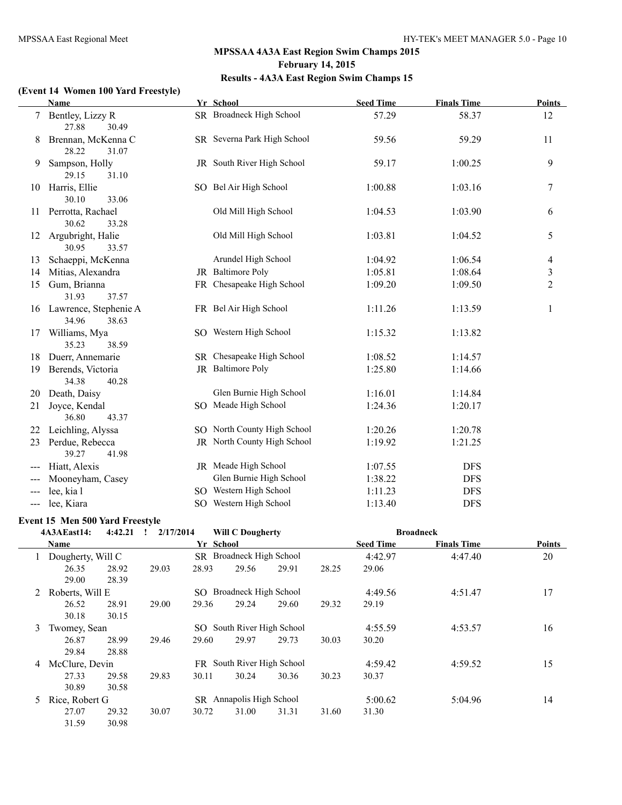#### **(Event 14 Women 100 Yard Freestyle)**

|                     | Name                                       | Yr School                   | <b>Seed Time</b> | <b>Finals Time</b> | <b>Points</b>  |
|---------------------|--------------------------------------------|-----------------------------|------------------|--------------------|----------------|
| 7                   | Bentley, Lizzy R<br>27.88<br>30.49         | SR Broadneck High School    | 57.29            | 58.37              | 12             |
| 8                   | Brennan, McKenna C<br>28.22<br>31.07       | SR Severna Park High School | 59.56            | 59.29              | 11             |
| 9                   | Sampson, Holly<br>29.15<br>31.10           | JR South River High School  | 59.17            | 1:00.25            | 9              |
| 10                  | Harris, Ellie<br>30.10<br>33.06            | SO Bel Air High School      | 1:00.88          | 1:03.16            | $\tau$         |
|                     | 11 Perrotta, Rachael<br>30.62<br>33.28     | Old Mill High School        | 1:04.53          | 1:03.90            | 6              |
| 12                  | Argubright, Halie<br>30.95<br>33.57        | Old Mill High School        | 1:03.81          | 1:04.52            | $\sqrt{5}$     |
| 13                  | Schaeppi, McKenna                          | Arundel High School         | 1:04.92          | 1:06.54            | 4              |
| 14                  | Mitias, Alexandra                          | JR Baltimore Poly           | 1:05.81          | 1:08.64            | $\mathfrak{Z}$ |
| 15                  | Gum, Brianna<br>31.93<br>37.57             | FR Chesapeake High School   | 1:09.20          | 1:09.50            | $\overline{2}$ |
|                     | 16 Lawrence, Stephenie A<br>34.96<br>38.63 | FR Bel Air High School      | 1:11.26          | 1:13.59            | 1              |
| 17                  | Williams, Mya<br>35.23<br>38.59            | SO Western High School      | 1:15.32          | 1:13.82            |                |
| 18                  | Duerr, Annemarie                           | SR Chesapeake High School   | 1:08.52          | 1:14.57            |                |
| 19                  | Berends, Victoria<br>34.38<br>40.28        | JR Baltimore Poly           | 1:25.80          | 1:14.66            |                |
| 20                  | Death, Daisy                               | Glen Burnie High School     | 1:16.01          | 1:14.84            |                |
| 21                  | Joyce, Kendal<br>36.80<br>43.37            | SO Meade High School        | 1:24.36          | 1:20.17            |                |
| 22                  | Leichling, Alyssa                          | SO North County High School | 1:20.26          | 1:20.78            |                |
| 23                  | Perdue, Rebecca<br>39.27<br>41.98          | JR North County High School | 1:19.92          | 1:21.25            |                |
|                     | Hiatt, Alexis                              | JR Meade High School        | 1:07.55          | <b>DFS</b>         |                |
|                     | Mooneyham, Casey                           | Glen Burnie High School     | 1:38.22          | <b>DFS</b>         |                |
|                     | lee, kia l                                 | SO Western High School      | 1:11.23          | <b>DFS</b>         |                |
| $\qquad \qquad - -$ | lee, Kiara                                 | SO Western High School      | 1:13.40          | <b>DFS</b>         |                |

#### **Event 15 Men 500 Yard Freestyle**

|    | 4A3AEast14:       | 4:42.21 | 2/17/2014<br>$\mathbf{I}$ |           | <b>Will C Dougherty</b>    |       |       |                  | <b>Broadneck</b>   |               |
|----|-------------------|---------|---------------------------|-----------|----------------------------|-------|-------|------------------|--------------------|---------------|
|    | <b>Name</b>       |         |                           | Yr School |                            |       |       | <b>Seed Time</b> | <b>Finals Time</b> | <b>Points</b> |
|    | Dougherty, Will C |         |                           |           | SR Broadneck High School   |       |       | 4:42.97          | 4:47.40            | 20            |
|    | 26.35             | 28.92   | 29.03                     | 28.93     | 29.56                      | 29.91 | 28.25 | 29.06            |                    |               |
|    | 29.00             | 28.39   |                           |           |                            |       |       |                  |                    |               |
|    | Roberts, Will E   |         |                           |           | SO Broadneck High School   |       |       | 4:49.56          | 4:51.47            | 17            |
|    | 26.52             | 28.91   | 29.00                     | 29.36     | 29.24                      | 29.60 | 29.32 | 29.19            |                    |               |
|    | 30.18             | 30.15   |                           |           |                            |       |       |                  |                    |               |
| 3  | Twomey, Sean      |         |                           |           | SO South River High School |       |       | 4:55.59          | 4:53.57            | 16            |
|    | 26.87             | 28.99   | 29.46                     | 29.60     | 29.97                      | 29.73 | 30.03 | 30.20            |                    |               |
|    | 29.84             | 28.88   |                           |           |                            |       |       |                  |                    |               |
| 4  | McClure, Devin    |         |                           |           | FR South River High School |       |       | 4:59.42          | 4:59.52            | 15            |
|    | 27.33             | 29.58   | 29.83                     | 30.11     | 30.24                      | 30.36 | 30.23 | 30.37            |                    |               |
|    | 30.89             | 30.58   |                           |           |                            |       |       |                  |                    |               |
| 5. | Rice, Robert G    |         |                           |           | SR Annapolis High School   |       |       | 5:00.62          | 5:04.96            | 14            |
|    | 27.07             | 29.32   | 30.07                     | 30.72     | 31.00                      | 31.31 | 31.60 | 31.30            |                    |               |
|    | 31.59             | 30.98   |                           |           |                            |       |       |                  |                    |               |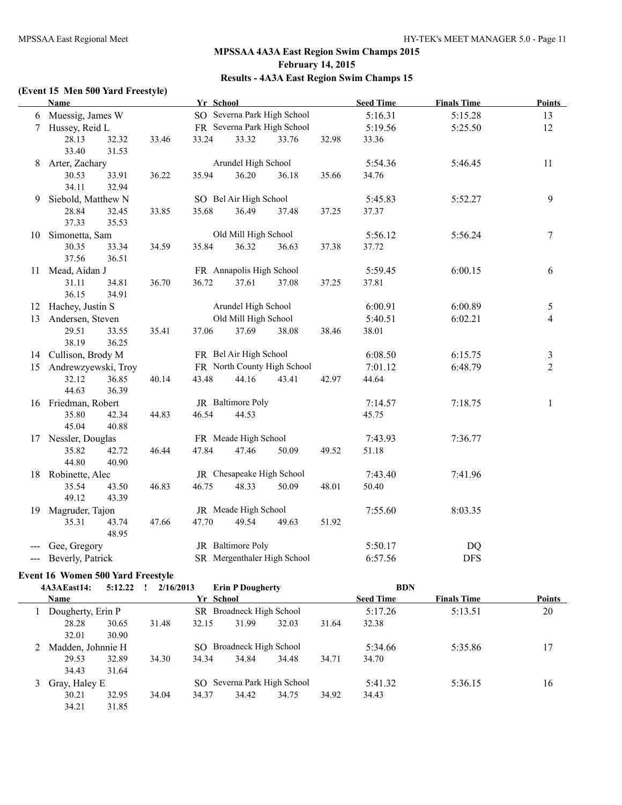#### **(Event 15 Men 500 Yard Freestyle)**

|     | <b>Name</b>            |                |       | Yr School |                           |                             |       | <b>Seed Time</b> | <b>Finals Time</b> | <b>Points</b>  |
|-----|------------------------|----------------|-------|-----------|---------------------------|-----------------------------|-------|------------------|--------------------|----------------|
|     | 6 Muessig, James W     |                |       |           |                           | SO Severna Park High School |       | 5:16.31          | 5:15.28            | 13             |
| 7   | Hussey, Reid L         |                |       |           |                           | FR Severna Park High School |       | 5:19.56          | 5:25.50            | 12             |
|     | 28.13                  | 32.32          | 33.46 | 33.24     | 33.32                     | 33.76                       | 32.98 | 33.36            |                    |                |
|     | 33.40                  | 31.53          |       |           |                           |                             |       |                  |                    |                |
| 8   | Arter, Zachary         |                |       |           | Arundel High School       |                             |       | 5:54.36          | 5:46.45            | 11             |
|     | 30.53                  | 33.91          | 36.22 | 35.94     | 36.20                     | 36.18                       | 35.66 | 34.76            |                    |                |
|     | 34.11                  | 32.94          |       |           |                           |                             |       |                  |                    |                |
| 9   | Siebold, Matthew N     |                |       |           | SO Bel Air High School    |                             |       | 5:45.83          | 5:52.27            | 9              |
|     | 28.84                  | 32.45          | 33.85 | 35.68     | 36.49                     | 37.48                       | 37.25 | 37.37            |                    |                |
|     | 37.33                  | 35.53          |       |           |                           |                             |       |                  |                    |                |
| 10  | Simonetta, Sam         |                |       |           | Old Mill High School      |                             |       | 5:56.12          | 5:56.24            | $\tau$         |
|     | 30.35                  | 33.34          | 34.59 | 35.84     | 36.32                     | 36.63                       | 37.38 | 37.72            |                    |                |
|     | 37.56                  | 36.51          |       |           |                           |                             |       |                  |                    |                |
|     | 11 Mead, Aidan J       |                |       |           | FR Annapolis High School  |                             |       | 5:59.45          | 6:00.15            | 6              |
|     | 31.11                  | 34.81          | 36.70 | 36.72     | 37.61                     | 37.08                       | 37.25 | 37.81            |                    |                |
|     | 36.15                  | 34.91          |       |           |                           |                             |       |                  |                    |                |
|     | 12 Hachey, Justin S    |                |       |           | Arundel High School       |                             |       | 6:00.91          | 6:00.89            | 5              |
| 13  | Andersen, Steven       |                |       |           | Old Mill High School      |                             |       | 5:40.51          | 6:02.21            | $\overline{4}$ |
|     | 29.51                  | 33.55          | 35.41 | 37.06     | 37.69                     | 38.08                       | 38.46 | 38.01            |                    |                |
|     | 38.19                  | 36.25          |       |           |                           |                             |       |                  |                    |                |
|     | 14 Cullison, Brody M   |                |       |           | FR Bel Air High School    |                             |       | 6:08.50          | 6:15.75            | 3              |
|     | 15 Andrewzyewski, Troy |                |       |           |                           | FR North County High School |       | 7:01.12          | 6:48.79            | $\overline{2}$ |
|     | 32.12                  | 36.85          | 40.14 | 43.48     | 44.16                     | 43.41                       | 42.97 | 44.64            |                    |                |
|     | 44.63                  | 36.39          |       |           |                           |                             |       |                  |                    |                |
|     | 16 Friedman, Robert    |                |       |           | JR Baltimore Poly         |                             |       | 7:14.57          | 7:18.75            | 1              |
|     | 35.80                  | 42.34          | 44.83 | 46.54     | 44.53                     |                             |       | 45.75            |                    |                |
|     | 45.04                  | 40.88          |       |           |                           |                             |       |                  |                    |                |
|     | 17 Nessler, Douglas    |                |       |           | FR Meade High School      |                             |       | 7:43.93          | 7:36.77            |                |
|     | 35.82                  | 42.72          | 46.44 | 47.84     | 47.46                     | 50.09                       | 49.52 | 51.18            |                    |                |
|     | 44.80                  | 40.90          |       |           |                           |                             |       |                  |                    |                |
| 18  | Robinette, Alec        |                |       |           | JR Chesapeake High School |                             |       | 7:43.40          | 7:41.96            |                |
|     | 35.54                  | 43.50          | 46.83 | 46.75     | 48.33                     | 50.09                       | 48.01 | 50.40            |                    |                |
|     | 49.12                  | 43.39          |       |           |                           |                             |       |                  |                    |                |
| 19  | Magruder, Tajon        |                |       |           | JR Meade High School      |                             |       | 7:55.60          | 8:03.35            |                |
|     | 35.31                  | 43.74<br>48.95 | 47.66 | 47.70     | 49.54                     | 49.63                       | 51.92 |                  |                    |                |
|     | Gee, Gregory           |                |       |           | JR Baltimore Poly         |                             |       | 5:50.17          | DQ                 |                |
| --- | Beverly, Patrick       |                |       |           |                           | SR Mergenthaler High School |       | 6:57.56          | <b>DFS</b>         |                |
|     |                        |                |       |           |                           |                             |       |                  |                    |                |

#### **Event 16 Women 500 Yard Freestyle**

| 5:12.22<br>4A3AEast14: | 2/16/2013 |       | <b>Erin P Dougherty</b> |                          | <b>BDN</b>                  |       |                  |                    |        |
|------------------------|-----------|-------|-------------------------|--------------------------|-----------------------------|-------|------------------|--------------------|--------|
| <b>Name</b>            |           |       | Yr School               |                          |                             |       | <b>Seed Time</b> | <b>Finals Time</b> | Points |
| Dougherty, Erin P      |           |       |                         | SR Broadneck High School |                             |       | 5:17.26          | 5:13.51            | 20     |
| 28.28                  | 30.65     | 31.48 | 32.15                   | 31.99                    | 32.03                       | 31.64 | 32.38            |                    |        |
| 32.01                  | 30.90     |       |                         |                          |                             |       |                  |                    |        |
| Madden, Johnnie H      |           |       | SO.                     | Broadneck High School    |                             |       | 5:34.66          | 5:35.86            | 17     |
| 29.53                  | 32.89     | 34.30 | 34.34                   | 34.84                    | 34.48                       | 34.71 | 34.70            |                    |        |
| 34.43                  | 31.64     |       |                         |                          |                             |       |                  |                    |        |
| Gray, Haley E          |           |       |                         |                          | SO Severna Park High School |       | 5:41.32          | 5:36.15            | 16     |
| 30.21                  | 32.95     | 34.04 | 34.37                   | 34.42                    | 34.75                       | 34.92 | 34.43            |                    |        |
| 34.21                  | 31.85     |       |                         |                          |                             |       |                  |                    |        |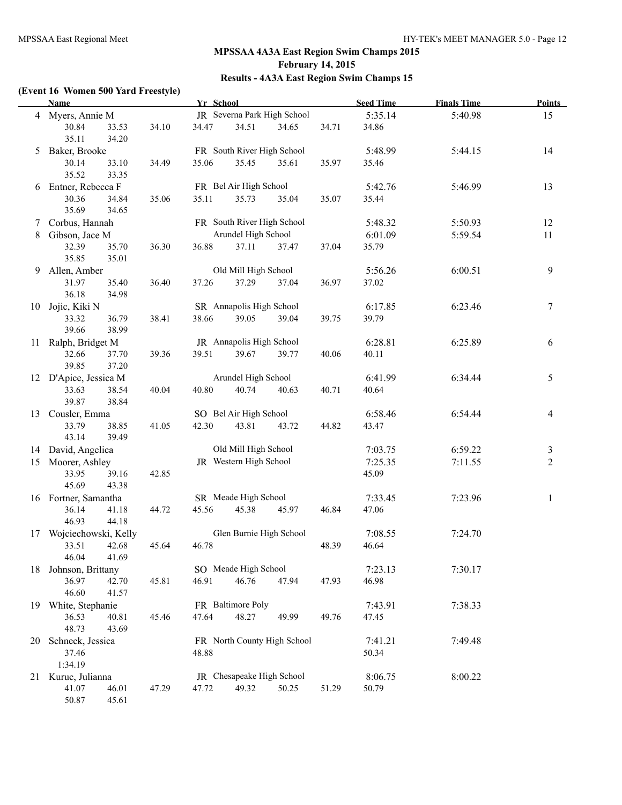#### **(Event 16 Women 500 Yard Freestyle)**

|    | <b>Name</b>                          |                |       | Yr School |                             |       |       | <b>Seed Time</b> | <b>Finals Time</b> | <b>Points</b>  |
|----|--------------------------------------|----------------|-------|-----------|-----------------------------|-------|-------|------------------|--------------------|----------------|
|    | 4 Myers, Annie M                     |                |       |           | JR Severna Park High School |       |       | 5:35.14          | 5:40.98            | 15             |
|    | 30.84<br>35.11                       | 33.53<br>34.20 | 34.10 | 34.47     | 34.51                       | 34.65 | 34.71 | 34.86            |                    |                |
| 5  | Baker, Brooke                        |                |       |           | FR South River High School  |       |       | 5:48.99          | 5:44.15            | 14             |
|    | 30.14<br>35.52                       | 33.10<br>33.35 | 34.49 | 35.06     | 35.45                       | 35.61 | 35.97 | 35.46            |                    |                |
| 6  | Entner, Rebecca F                    |                |       |           | FR Bel Air High School      |       |       | 5:42.76          | 5:46.99            | 13             |
|    | 30.36<br>35.69                       | 34.84<br>34.65 | 35.06 | 35.11     | 35.73                       | 35.04 | 35.07 | 35.44            |                    |                |
|    | 7 Corbus, Hannah                     |                |       |           | FR South River High School  |       |       | 5:48.32          | 5:50.93            | 12             |
| 8  | Gibson, Jace M                       |                |       |           | Arundel High School         |       |       | 6:01.09          | 5:59.54            | 11             |
|    | 32.39<br>35.85                       | 35.70<br>35.01 | 36.30 | 36.88     | 37.11                       | 37.47 | 37.04 | 35.79            |                    |                |
| 9  | Allen, Amber                         |                |       |           | Old Mill High School        |       |       | 5:56.26          | 6:00.51            | 9              |
|    | 31.97<br>36.18                       | 35.40<br>34.98 | 36.40 | 37.26     | 37.29                       | 37.04 | 36.97 | 37.02            |                    |                |
| 10 | Jojic, Kiki N                        |                |       |           | SR Annapolis High School    |       |       | 6:17.85          | 6:23.46            | 7              |
|    | 33.32<br>39.66                       | 36.79<br>38.99 | 38.41 | 38.66     | 39.05                       | 39.04 | 39.75 | 39.79            |                    |                |
| 11 | Ralph, Bridget M                     |                |       |           | JR Annapolis High School    |       |       | 6:28.81          | 6:25.89            | 6              |
|    | 32.66<br>39.85                       | 37.70<br>37.20 | 39.36 | 39.51     | 39.67                       | 39.77 | 40.06 | 40.11            |                    |                |
|    | 12 D'Apice, Jessica M                |                |       |           | Arundel High School         |       |       | 6:41.99          | 6:34.44            | 5              |
|    | 33.63<br>39.87                       | 38.54<br>38.84 | 40.04 | 40.80     | 40.74                       | 40.63 | 40.71 | 40.64            |                    |                |
|    | 13 Cousler, Emma                     |                |       |           | SO Bel Air High School      |       |       | 6:58.46          | 6:54.44            | 4              |
|    | 33.79<br>43.14                       | 38.85<br>39.49 | 41.05 | 42.30     | 43.81                       | 43.72 | 44.82 | 43.47            |                    |                |
|    | 14 David, Angelica                   |                |       |           | Old Mill High School        |       |       | 7:03.75          | 6:59.22            | 3              |
| 15 | Moorer, Ashley                       |                |       |           | JR Western High School      |       |       | 7:25.35          | 7:11.55            | $\overline{2}$ |
|    | 33.95<br>45.69                       | 39.16<br>43.38 | 42.85 |           |                             |       |       | 45.09            |                    |                |
|    | 16 Fortner, Samantha                 |                |       |           | SR Meade High School        |       |       | 7:33.45          | 7:23.96            | $\mathbf{1}$   |
|    | 36.14<br>46.93                       | 41.18<br>44.18 | 44.72 | 45.56     | 45.38                       | 45.97 | 46.84 | 47.06            |                    |                |
| 17 | Wojciechowski, Kelly                 |                |       |           | Glen Burnie High School     |       |       | 7:08.55          | 7:24.70            |                |
|    | 33.51<br>46.04                       | 42.68<br>41.69 | 45.64 | 46.78     |                             |       | 48.39 | 46.64            |                    |                |
| 18 | Johnson, Brittany                    |                |       |           | SO Meade High School        |       |       | 7:23.13          | 7:30.17            |                |
|    | 36.97<br>46.60                       | 42.70<br>41.57 | 45.81 | 46.91     | 46.76                       | 47.94 | 47.93 | 46.98            |                    |                |
|    | 19 White, Stephanie                  |                |       |           | FR Baltimore Poly           |       |       | 7:43.91          | 7:38.33            |                |
|    | 36.53<br>48.73                       | 40.81<br>43.69 | 45.46 | 47.64     | 48.27                       | 49.99 | 49.76 | 47.45            |                    |                |
| 20 | Schneck, Jessica<br>37.46<br>1:34.19 |                |       | 48.88     | FR North County High School |       |       | 7:41.21<br>50.34 | 7:49.48            |                |
|    | 21 Kuruc, Julianna                   |                |       |           | JR Chesapeake High School   |       |       | 8:06.75          | 8:00.22            |                |
|    | 41.07<br>50.87                       | 46.01<br>45.61 | 47.29 | 47.72     | 49.32                       | 50.25 | 51.29 | 50.79            |                    |                |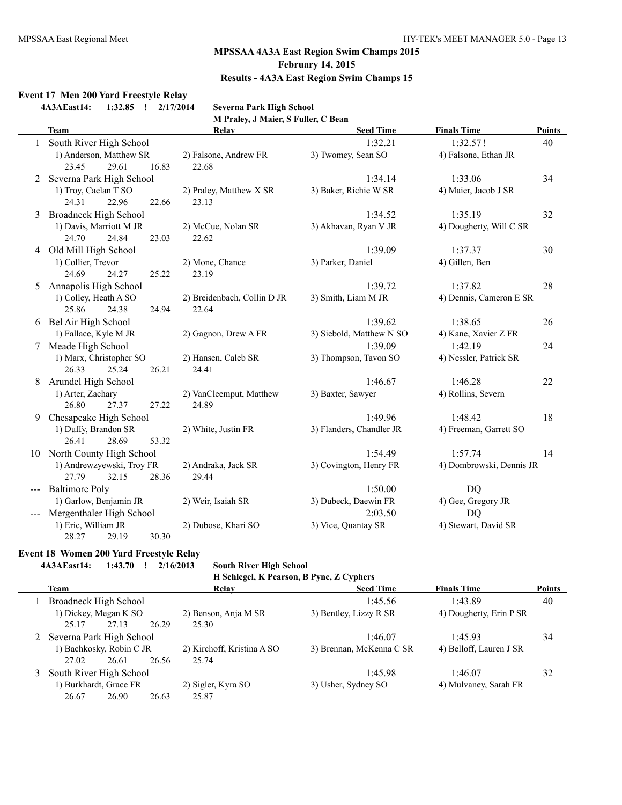#### **Event 17 Men 200 Yard Freestyle Relay**

**4A3AEast14: 1:32.85 ! 2/17/2014 Severna Park High School**

**M Praley, J Maier, S Fuller, C Bean**

|    | <b>Team</b>                  | Relay                       | <b>Seed Time</b>         | <b>Finals Time</b>       | <b>Points</b> |
|----|------------------------------|-----------------------------|--------------------------|--------------------------|---------------|
|    | South River High School      |                             | 1:32.21                  | 1:32.57!                 | 40            |
|    | 1) Anderson, Matthew SR      | 2) Falsone, Andrew FR       | 3) Twomey, Sean SO       | 4) Falsone, Ethan JR     |               |
|    | 23.45<br>29.61<br>16.83      | 22.68                       |                          |                          |               |
| 2  | Severna Park High School     |                             | 1:34.14                  | 1:33.06                  | 34            |
|    | 1) Troy, Caelan T SO         | 2) Praley, Matthew X SR     | 3) Baker, Richie W SR    | 4) Maier, Jacob J SR     |               |
|    | 24.31<br>22.96<br>22.66      | 23.13                       |                          |                          |               |
| 3  | <b>Broadneck High School</b> |                             | 1:34.52                  | 1:35.19                  | 32            |
|    | 1) Davis, Marriott M JR      | 2) McCue, Nolan SR          | 3) Akhavan, Ryan V JR    | 4) Dougherty, Will C SR  |               |
|    | 24.70<br>24.84<br>23.03      | 22.62                       |                          |                          |               |
|    | 4 Old Mill High School       |                             | 1:39.09                  | 1:37.37                  | 30            |
|    | 1) Collier, Trevor           | 2) Mone, Chance             | 3) Parker, Daniel        | 4) Gillen, Ben           |               |
|    | 24.69<br>24.27<br>25.22      | 23.19                       |                          |                          |               |
| 5  | Annapolis High School        |                             | 1:39.72                  | 1:37.82                  | 28            |
|    | 1) Colley, Heath A SO        | 2) Breidenbach, Collin D JR | 3) Smith, Liam M JR      | 4) Dennis, Cameron E SR  |               |
|    | 25.86<br>24.38<br>24.94      | 22.64                       |                          |                          |               |
| 6  | Bel Air High School          |                             | 1:39.62                  | 1:38.65                  | 26            |
|    | 1) Fallace, Kyle M JR        | 2) Gagnon, Drew A FR        | 3) Siebold, Matthew N SO | 4) Kane, Xavier Z FR     |               |
| 7  | Meade High School            |                             | 1:39.09                  | 1:42.19                  | 24            |
|    | 1) Marx, Christopher SO      | 2) Hansen, Caleb SR         | 3) Thompson, Tavon SO    | 4) Nessler, Patrick SR   |               |
|    | 26.33<br>25.24<br>26.21      | 24.41                       |                          |                          |               |
| 8  | Arundel High School          |                             | 1:46.67                  | 1:46.28                  | 22            |
|    | 1) Arter, Zachary            | 2) VanCleemput, Matthew     | 3) Baxter, Sawyer        | 4) Rollins, Severn       |               |
|    | 26.80<br>27.37<br>27.22      | 24.89                       |                          |                          |               |
| 9  | Chesapeake High School       |                             | 1:49.96                  | 1:48.42                  | 18            |
|    | 1) Duffy, Brandon SR         | 2) White, Justin FR         | 3) Flanders, Chandler JR | 4) Freeman, Garrett SO   |               |
|    | 26.41<br>28.69<br>53.32      |                             |                          |                          |               |
| 10 | North County High School     |                             | 1:54.49                  | 1:57.74                  | 14            |
|    | 1) Andrewzyewski, Troy FR    | 2) Andraka, Jack SR         | 3) Covington, Henry FR   | 4) Dombrowski, Dennis JR |               |
|    | 27.79<br>32.15<br>28.36      | 29.44                       |                          |                          |               |
|    | <b>Baltimore Poly</b>        |                             | 1:50.00                  | <b>DQ</b>                |               |
|    | 1) Garlow, Benjamin JR       | 2) Weir, Isaiah SR          | 3) Dubeck, Daewin FR     | 4) Gee, Gregory JR       |               |
|    | Mergenthaler High School     |                             | 2:03.50                  | <b>DQ</b>                |               |
|    | 1) Eric, William JR          | 2) Dubose, Khari SO         | 3) Vice, Quantay SR      | 4) Stewart, David SR     |               |
|    | 28.27<br>30.30<br>29.19      |                             |                          |                          |               |

#### **Event 18 Women 200 Yard Freestyle Relay**

**4A3AEast14: 1:43.70 ! 2/16/2013 South River High School**

**H Schlegel, K Pearson, B Pyne, Z Cyphers**

| Team                       | Relay                      | <b>Seed Time</b>         | <b>Finals Time</b>      | <b>Points</b> |
|----------------------------|----------------------------|--------------------------|-------------------------|---------------|
| Broadneck High School      |                            | 1:45.56                  | 1:43.89                 | 40            |
| 1) Dickey, Megan K SO      | 2) Benson, Anja M SR       | 3) Bentley, Lizzy R SR   | 4) Dougherty, Erin P SR |               |
| 26.29<br>25.17<br>27.13    | 25.30                      |                          |                         |               |
| 2 Severna Park High School |                            | 1:46.07                  | 1:45.93                 | 34            |
| 1) Bachkosky, Robin C JR   | 2) Kirchoff, Kristina A SO | 3) Brennan, McKenna C SR | 4) Belloff, Lauren J SR |               |
| 26.56<br>27.02<br>26.61    | 25.74                      |                          |                         |               |
| South River High School    |                            | 1:45.98                  | 1:46.07                 | 32            |
| 1) Burkhardt, Grace FR     | 2) Sigler, Kyra SO         | 3) Usher, Sydney SO      | 4) Mulvaney, Sarah FR   |               |
| 26.67<br>26.90<br>26.63    | 25.87                      |                          |                         |               |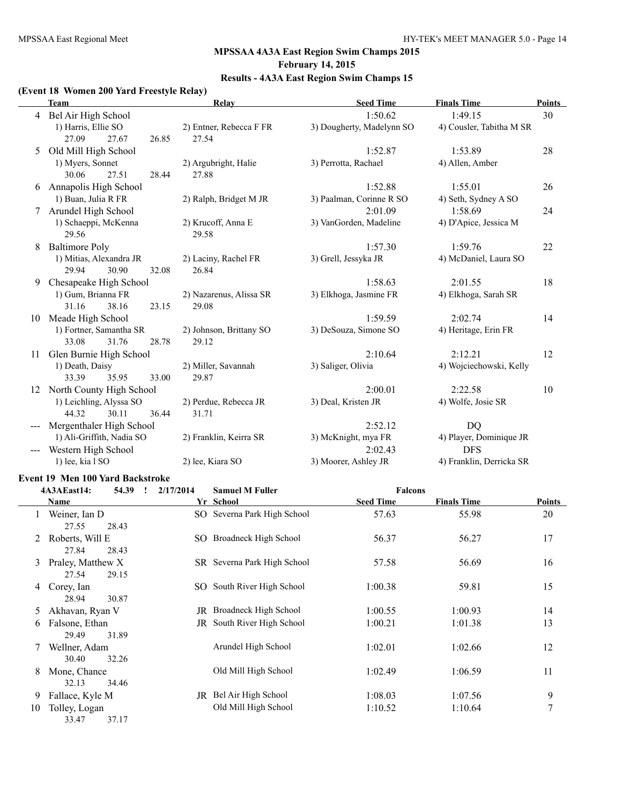# **MPSSAA 4A3A East Region Swim Champs 2015 February 14, 2015**

# **Results - 4A3A East Region Swim Champs 15**

#### **(Event 18 Women 200 Yard Freestyle Relay)**

|    | <b>Team</b>               | Relay                   | <b>Seed Time</b>          | <b>Finals Time</b>       | <b>Points</b> |
|----|---------------------------|-------------------------|---------------------------|--------------------------|---------------|
| 4  | Bel Air High School       |                         | 1:50.62                   | 1:49.15                  | 30            |
|    | 1) Harris, Ellie SO       | 2) Entner, Rebecca F FR | 3) Dougherty, Madelynn SO | 4) Cousler, Tabitha M SR |               |
|    | 27.09<br>27.67<br>26.85   | 27.54                   |                           |                          |               |
| 5  | Old Mill High School      |                         | 1:52.87                   | 1:53.89                  | 28            |
|    | 1) Myers, Sonnet          | 2) Argubright, Halie    | 3) Perrotta, Rachael      | 4) Allen, Amber          |               |
|    | 30.06<br>27.51<br>28.44   | 27.88                   |                           |                          |               |
| 6  | Annapolis High School     |                         | 1:52.88                   | 1:55.01                  | 26            |
|    | 1) Buan, Julia R FR       | 2) Ralph, Bridget M JR  | 3) Paalman, Corinne R SO  | 4) Seth, Sydney A SO     |               |
| 7  | Arundel High School       |                         | 2:01.09                   | 1:58.69                  | 24            |
|    | 1) Schaeppi, McKenna      | 2) Krucoff, Anna E      | 3) VanGorden, Madeline    | 4) D'Apice, Jessica M    |               |
|    | 29.56                     | 29.58                   |                           |                          |               |
| 8  | <b>Baltimore Poly</b>     |                         | 1:57.30                   | 1:59.76                  | 22            |
|    | 1) Mitias, Alexandra JR   | 2) Laciny, Rachel FR    | 3) Grell, Jessyka JR      | 4) McDaniel, Laura SO    |               |
|    | 29.94<br>30.90<br>32.08   | 26.84                   |                           |                          |               |
| 9  | Chesapeake High School    |                         | 1:58.63                   | 2:01.55                  | 18            |
|    | 1) Gum, Brianna FR        | 2) Nazarenus, Alissa SR | 3) Elkhoga, Jasmine FR    | 4) Elkhoga, Sarah SR     |               |
|    | 31.16<br>23.15<br>38.16   | 29.08                   |                           |                          |               |
| 10 | Meade High School         |                         | 1:59.59                   | 2:02.74                  | 14            |
|    | 1) Fortner, Samantha SR   | 2) Johnson, Brittany SO | 3) DeSouza, Simone SO     | 4) Heritage, Erin FR     |               |
|    | 33.08<br>31.76<br>28.78   | 29.12                   |                           |                          |               |
| 11 | Glen Burnie High School   |                         | 2:10.64                   | 2:12.21                  | 12            |
|    | 1) Death, Daisy           | 2) Miller, Savannah     | 3) Saliger, Olivia        | 4) Wojciechowski, Kelly  |               |
|    | 33.39<br>35.95<br>33.00   | 29.87                   |                           |                          |               |
| 12 | North County High School  |                         | 2:00.01                   | 2:22.58                  | 10            |
|    | 1) Leichling, Alyssa SO   | 2) Perdue, Rebecca JR   | 3) Deal, Kristen JR       | 4) Wolfe, Josie SR       |               |
|    | 44.32<br>30.11<br>36.44   | 31.71                   |                           |                          |               |
|    | Mergenthaler High School  |                         | 2:52.12                   | <b>DQ</b>                |               |
|    | 1) Ali-Griffith, Nadia SO | 2) Franklin, Keirra SR  | 3) McKnight, mya FR       | 4) Player, Dominique JR  |               |
|    | Western High School       |                         | 2:02.43                   | <b>DFS</b>               |               |
|    | 1) lee, kia l SO          | 2) lee, Kiara SO        | 3) Moorer, Ashley JR      | 4) Franklin, Derricka SR |               |

#### **Event 19 Men 100 Yard Backstroke**

|    | 4A3AEast14:                | 54.39<br>$\mathbf{I}$ | 2/17/2014 | <b>Samuel M Fuller</b>      | <b>Falcons</b>   |                    |        |
|----|----------------------------|-----------------------|-----------|-----------------------------|------------------|--------------------|--------|
|    | Name                       |                       |           | Yr School                   | <b>Seed Time</b> | <b>Finals Time</b> | Points |
|    | Weiner, Ian D<br>27.55     | 28.43                 |           | SO Severna Park High School | 57.63            | 55.98              | 20     |
|    | Roberts, Will E<br>27.84   | 28.43                 |           | SO Broadneck High School    | 56.37            | 56.27              | 17     |
| 3  | Praley, Matthew X<br>27.54 | 29.15                 |           | SR Severna Park High School | 57.58            | 56.69              | 16     |
| 4  | Corey, Ian<br>28.94        | 30.87                 |           | SO South River High School  | 1:00.38          | 59.81              | 15     |
| 5  | Akhavan, Ryan V            |                       |           | JR Broadneck High School    | 1:00.55          | 1:00.93            | 14     |
| 6  | Falsone, Ethan<br>29.49    | 31.89                 |           | JR South River High School  | 1:00.21          | 1:01.38            | 13     |
|    | Wellner, Adam<br>30.40     | 32.26                 |           | Arundel High School         | 1:02.01          | 1:02.66            | 12     |
| 8  | Mone, Chance<br>32.13      | 34.46                 |           | Old Mill High School        | 1:02.49          | 1:06.59            | 11     |
| 9  | Fallace, Kyle M            |                       | JR        | Bel Air High School         | 1:08.03          | 1:07.56            | 9      |
| 10 | Tolley, Logan<br>33.47     | 37.17                 |           | Old Mill High School        | 1:10.52          | 1:10.64            | 7      |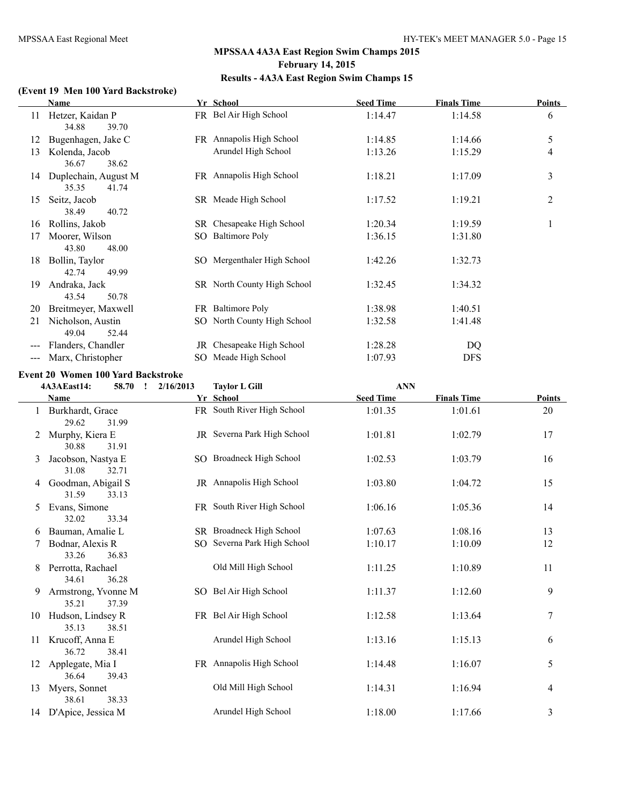#### **(Event 19 Men 100 Yard Backstroke)**

|       | <b>Name</b>          |     | Yr School                   | <b>Seed Time</b> | <b>Finals Time</b> | Points |
|-------|----------------------|-----|-----------------------------|------------------|--------------------|--------|
| 11    | Hetzer, Kaidan P     |     | FR Bel Air High School      | 1:14.47          | 1:14.58            | 6      |
|       | 39.70<br>34.88       |     |                             |                  |                    |        |
| 12    | Bugenhagen, Jake C   |     | FR Annapolis High School    | 1:14.85          | 1:14.66            | 5      |
| 13    | Kolenda, Jacob       |     | Arundel High School         | 1:13.26          | 1:15.29            | 4      |
|       | 36.67<br>38.62       |     |                             |                  |                    |        |
| 14    | Duplechain, August M |     | FR Annapolis High School    | 1:18.21          | 1:17.09            | 3      |
|       | 35.35<br>41.74       |     |                             |                  |                    |        |
| 15    | Seitz, Jacob         |     | SR Meade High School        | 1:17.52          | 1:19.21            | 2      |
|       | 38.49<br>40.72       |     |                             |                  |                    |        |
| 16    | Rollins, Jakob       |     | SR Chesapeake High School   | 1:20.34          | 1:19.59            |        |
| 17    | Moorer, Wilson       | SO. | <b>Baltimore Poly</b>       | 1:36.15          | 1:31.80            |        |
|       | 43.80<br>48.00       |     |                             |                  |                    |        |
| 18    | Bollin, Taylor       |     | SO Mergenthaler High School | 1:42.26          | 1:32.73            |        |
|       | 42.74<br>49.99       |     |                             |                  |                    |        |
| 19    | Andraka, Jack        |     | SR North County High School | 1:32.45          | 1:34.32            |        |
|       | 43.54<br>50.78       |     |                             |                  |                    |        |
| 20    | Breitmeyer, Maxwell  |     | FR Baltimore Poly           | 1:38.98          | 1:40.51            |        |
| 21    | Nicholson, Austin    |     | SO North County High School | 1:32.58          | 1:41.48            |        |
|       | 49.04<br>52.44       |     |                             |                  |                    |        |
| $---$ | Flanders, Chandler   |     | JR Chesapeake High School   | 1:28.28          | DQ                 |        |
|       | Marx, Christopher    |     | SO Meade High School        | 1:07.93          | <b>DFS</b>         |        |

#### **Event 20 Women 100 Yard Backstroke**

|              | 58.70 !<br>4A3AEast14:                | 2/16/2013 | <b>Taylor L Gill</b>        | <b>ANN</b>       |                    |        |
|--------------|---------------------------------------|-----------|-----------------------------|------------------|--------------------|--------|
|              | Name                                  |           | Yr School                   | <b>Seed Time</b> | <b>Finals Time</b> | Points |
| $\mathbf{1}$ | Burkhardt, Grace<br>29.62<br>31.99    |           | FR South River High School  | 1:01.35          | 1:01.61            | 20     |
| 2            | Murphy, Kiera E<br>30.88<br>31.91     |           | JR Severna Park High School | 1:01.81          | 1:02.79            | 17     |
| 3            | Jacobson, Nastya E<br>31.08<br>32.71  |           | SO Broadneck High School    | 1:02.53          | 1:03.79            | 16     |
| 4            | Goodman, Abigail S<br>31.59<br>33.13  |           | JR Annapolis High School    | 1:03.80          | 1:04.72            | 15     |
| 5            | Evans, Simone<br>32.02<br>33.34       |           | FR South River High School  | 1:06.16          | 1:05.36            | 14     |
| 6            | Bauman, Amalie L                      |           | SR Broadneck High School    | 1:07.63          | 1:08.16            | 13     |
|              | Bodnar, Alexis R<br>33.26<br>36.83    |           | SO Severna Park High School | 1:10.17          | 1:10.09            | 12     |
| 8            | Perrotta, Rachael<br>34.61<br>36.28   |           | Old Mill High School        | 1:11.25          | 1:10.89            | 11     |
| 9            | Armstrong, Yvonne M<br>35.21<br>37.39 |           | SO Bel Air High School      | 1:11.37          | 1:12.60            | 9      |
| 10           | Hudson, Lindsey R<br>35.13<br>38.51   |           | FR Bel Air High School      | 1:12.58          | 1:13.64            | 7      |
| 11           | Krucoff, Anna E<br>36.72<br>38.41     |           | Arundel High School         | 1:13.16          | 1:15.13            | 6      |
| 12           | Applegate, Mia I<br>36.64<br>39.43    |           | FR Annapolis High School    | 1:14.48          | 1:16.07            | 5      |
| 13           | Myers, Sonnet<br>38.33<br>38.61       |           | Old Mill High School        | 1:14.31          | 1:16.94            | 4      |
|              | 14 D'Apice, Jessica M                 |           | Arundel High School         | 1:18.00          | 1:17.66            | 3      |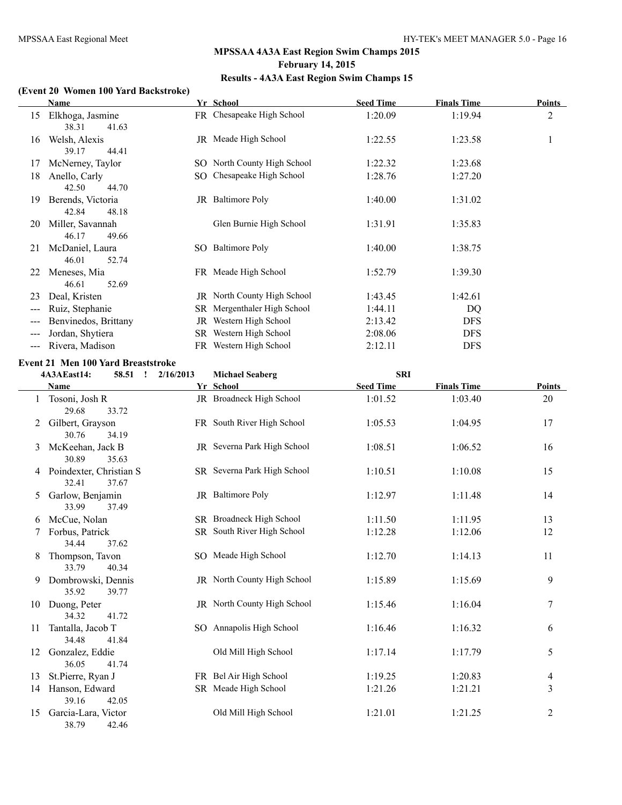#### **(Event 20 Women 100 Yard Backstroke)**

|                     | Name                 |    | Yr School                   | <b>Seed Time</b> | <b>Finals Time</b> | <b>Points</b> |
|---------------------|----------------------|----|-----------------------------|------------------|--------------------|---------------|
| 15                  | Elkhoga, Jasmine     |    | FR Chesapeake High School   | 1:20.09          | 1:19.94            | 2             |
|                     | 41.63<br>38.31       |    |                             |                  |                    |               |
| 16                  | Welsh, Alexis        |    | JR Meade High School        | 1:22.55          | 1:23.58            | -1            |
|                     | 44.41<br>39.17       |    |                             |                  |                    |               |
| 17                  | McNerney, Taylor     |    | SO North County High School | 1:22.32          | 1:23.68            |               |
| 18                  | Anello, Carly        |    | SO Chesapeake High School   | 1:28.76          | 1:27.20            |               |
|                     | 42.50<br>44.70       |    |                             |                  |                    |               |
| 19                  | Berends, Victoria    |    | JR Baltimore Poly           | 1:40.00          | 1:31.02            |               |
|                     | 48.18<br>42.84       |    |                             |                  |                    |               |
| 20                  | Miller, Savannah     |    | Glen Burnie High School     | 1:31.91          | 1:35.83            |               |
|                     | 46.17<br>49.66       |    |                             |                  |                    |               |
| 21                  | McDaniel, Laura      |    | SO Baltimore Poly           | 1:40.00          | 1:38.75            |               |
|                     | 46.01<br>52.74       |    |                             |                  |                    |               |
| 22                  | Meneses, Mia         |    | FR Meade High School        | 1:52.79          | 1:39.30            |               |
|                     | 52.69<br>46.61       |    |                             |                  |                    |               |
| 23                  | Deal, Kristen        |    | JR North County High School | 1:43.45          | 1:42.61            |               |
| $---$               | Ruiz, Stephanie      |    | SR Mergenthaler High School | 1:44.11          | DQ                 |               |
| $\qquad \qquad - -$ | Benvinedos, Brittany | JR | Western High School         | 2:13.42          | <b>DFS</b>         |               |
| $---$               | Jordan, Shytiera     |    | SR Western High School      | 2:08.06          | <b>DFS</b>         |               |
|                     | Rivera, Madison      |    | FR Western High School      | 2:12.11          | <b>DFS</b>         |               |
|                     |                      |    |                             |                  |                    |               |

#### **Event 21 Men 100 Yard Breaststroke**

|    | 4A3AEast14:<br>58.51<br>$\mathbf{I}$      | 2/16/2013 | <b>Michael Seaberg</b>      | <b>SRI</b>       |                    |                |
|----|-------------------------------------------|-----------|-----------------------------|------------------|--------------------|----------------|
|    | Name                                      |           | Yr School                   | <b>Seed Time</b> | <b>Finals Time</b> | Points         |
|    | Tosoni, Josh R<br>29.68<br>33.72          |           | JR Broadneck High School    | 1:01.52          | 1:03.40            | 20             |
|    | Gilbert, Grayson<br>30.76<br>34.19        |           | FR South River High School  | 1:05.53          | 1:04.95            | 17             |
| 3  | McKeehan, Jack B<br>30.89<br>35.63        |           | JR Severna Park High School | 1:08.51          | 1:06.52            | 16             |
| 4  | Poindexter, Christian S<br>32.41<br>37.67 |           | SR Severna Park High School | 1:10.51          | 1:10.08            | 15             |
| 5  | Garlow, Benjamin<br>33.99<br>37.49        |           | JR Baltimore Poly           | 1:12.97          | 1:11.48            | 14             |
| 6  | McCue, Nolan                              |           | SR Broadneck High School    | 1:11.50          | 1:11.95            | 13             |
| 7  | Forbus, Patrick<br>34.44<br>37.62         |           | SR South River High School  | 1:12.28          | 1:12.06            | 12             |
| 8  | Thompson, Tavon<br>33.79<br>40.34         |           | SO Meade High School        | 1:12.70          | 1:14.13            | 11             |
| 9  | Dombrowski, Dennis<br>35.92<br>39.77      |           | JR North County High School | 1:15.89          | 1:15.69            | 9              |
| 10 | Duong, Peter<br>34.32<br>41.72            |           | JR North County High School | 1:15.46          | 1:16.04            | 7              |
| 11 | Tantalla, Jacob T<br>34.48<br>41.84       |           | SO Annapolis High School    | 1:16.46          | 1:16.32            | 6              |
| 12 | Gonzalez, Eddie<br>36.05<br>41.74         |           | Old Mill High School        | 1:17.14          | 1:17.79            | 5              |
| 13 | St.Pierre, Ryan J                         |           | FR Bel Air High School      | 1:19.25          | 1:20.83            | $\overline{4}$ |
| 14 | Hanson, Edward<br>39.16<br>42.05          |           | SR Meade High School        | 1:21.26          | 1:21.21            | 3              |
| 15 | Garcia-Lara, Victor<br>38.79<br>42.46     |           | Old Mill High School        | 1:21.01          | 1:21.25            | $\overline{2}$ |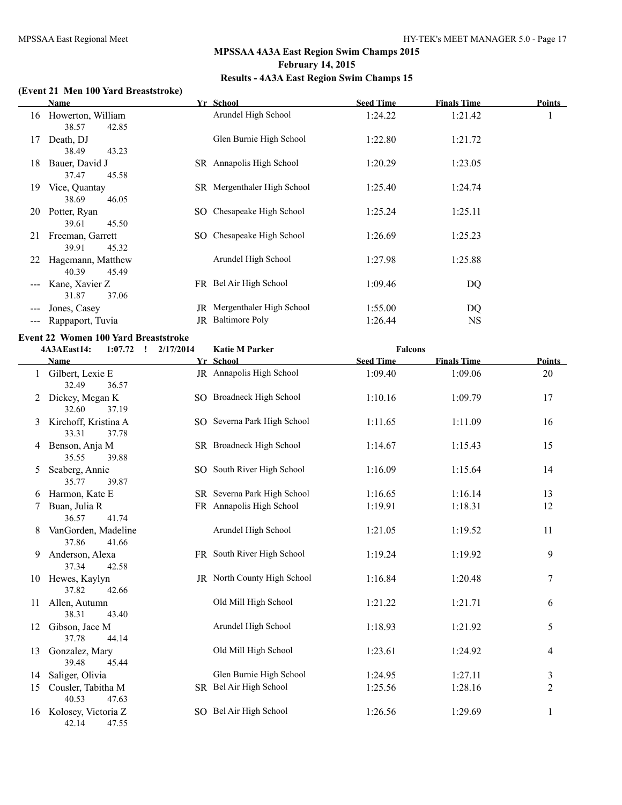#### **(Event 21 Men 100 Yard Breaststroke)**

|    | Name              |     | Yr School                   | <b>Seed Time</b> | <b>Finals Time</b> | Points |
|----|-------------------|-----|-----------------------------|------------------|--------------------|--------|
| 16 | Howerton, William |     | Arundel High School         | 1:24.22          | 1:21.42            |        |
|    | 38.57<br>42.85    |     |                             |                  |                    |        |
| 17 | Death, DJ         |     | Glen Burnie High School     | 1:22.80          | 1:21.72            |        |
|    | 38.49<br>43.23    |     |                             |                  |                    |        |
| 18 | Bauer, David J    |     | SR Annapolis High School    | 1:20.29          | 1:23.05            |        |
|    | 45.58<br>37.47    |     |                             |                  |                    |        |
| 19 | Vice, Quantay     |     | SR Mergenthaler High School | 1:25.40          | 1:24.74            |        |
|    | 38.69<br>46.05    |     |                             |                  |                    |        |
| 20 | Potter, Ryan      | SO. | Chesapeake High School      | 1:25.24          | 1:25.11            |        |
|    | 45.50<br>39.61    |     |                             |                  |                    |        |
| 21 | Freeman, Garrett  | SO. | Chesapeake High School      | 1:26.69          | 1:25.23            |        |
|    | 39.91<br>45.32    |     |                             |                  |                    |        |
| 22 | Hagemann, Matthew |     | Arundel High School         | 1:27.98          | 1:25.88            |        |
|    | 40.39<br>45.49    |     |                             |                  |                    |        |
|    | Kane, Xavier Z    |     | FR Bel Air High School      | 1:09.46          | DQ                 |        |
|    | 31.87<br>37.06    |     |                             |                  |                    |        |
|    | Jones, Casey      | JR  | Mergenthaler High School    | 1:55.00          | DQ                 |        |
|    | Rappaport, Tuvia  | JR  | <b>Baltimore Poly</b>       | 1:26.44          | NS.                |        |
|    |                   |     |                             |                  |                    |        |

## **Event 22 Women 100 Yard Breaststroke**

|    | 4A3AEast14:<br>1:07.72<br>$\mathbf{r}$ | 2/17/2014 | <b>Katie M Parker</b>       | <b>Falcons</b>   |                    |                |
|----|----------------------------------------|-----------|-----------------------------|------------------|--------------------|----------------|
|    | Name                                   |           | Yr School                   | <b>Seed Time</b> | <b>Finals Time</b> | <b>Points</b>  |
|    | Gilbert, Lexie E<br>32.49<br>36.57     |           | JR Annapolis High School    | 1:09.40          | 1:09.06            | 20             |
| 2  | Dickey, Megan K<br>32.60<br>37.19      |           | SO Broadneck High School    | 1:10.16          | 1:09.79            | 17             |
| 3  | Kirchoff, Kristina A<br>33.31<br>37.78 |           | SO Severna Park High School | 1:11.65          | 1:11.09            | 16             |
| 4  | Benson, Anja M<br>35.55<br>39.88       |           | SR Broadneck High School    | 1:14.67          | 1:15.43            | 15             |
| 5  | Seaberg, Annie<br>35.77<br>39.87       |           | SO South River High School  | 1:16.09          | 1:15.64            | 14             |
| 6  | Harmon, Kate E                         |           | SR Severna Park High School | 1:16.65          | 1:16.14            | 13             |
| 7  | Buan, Julia R<br>36.57<br>41.74        |           | FR Annapolis High School    | 1:19.91          | 1:18.31            | 12             |
| 8  | VanGorden, Madeline<br>37.86<br>41.66  |           | Arundel High School         | 1:21.05          | 1:19.52            | 11             |
| 9  | Anderson, Alexa<br>37.34<br>42.58      |           | FR South River High School  | 1:19.24          | 1:19.92            | 9              |
| 10 | Hewes, Kaylyn<br>37.82<br>42.66        |           | JR North County High School | 1:16.84          | 1:20.48            | $\tau$         |
| 11 | Allen, Autumn<br>38.31<br>43.40        |           | Old Mill High School        | 1:21.22          | 1:21.71            | 6              |
| 12 | Gibson, Jace M<br>37.78<br>44.14       |           | Arundel High School         | 1:18.93          | 1:21.92            | 5              |
| 13 | Gonzalez, Mary<br>39.48<br>45.44       |           | Old Mill High School        | 1:23.61          | 1:24.92            | 4              |
| 14 | Saliger, Olivia                        |           | Glen Burnie High School     | 1:24.95          | 1:27.11            | $\mathfrak{Z}$ |
| 15 | Cousler, Tabitha M<br>40.53<br>47.63   |           | SR Bel Air High School      | 1:25.56          | 1:28.16            | $\overline{2}$ |
| 16 | Kolosey, Victoria Z<br>42.14<br>47.55  |           | SO Bel Air High School      | 1:26.56          | 1:29.69            | 1              |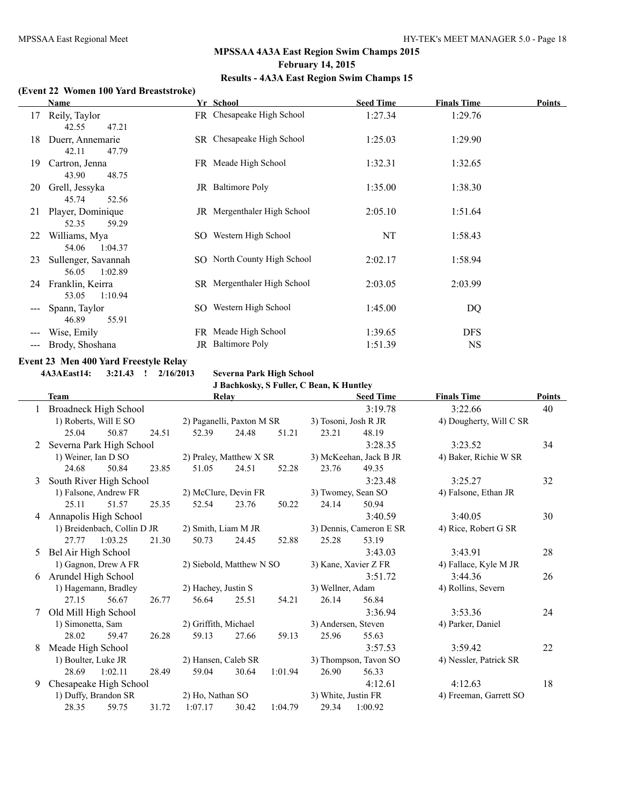#### **(Event 22 Women 100 Yard Breaststroke)**

|     | Name                                    | Yr School                   | <b>Seed Time</b> | <b>Finals Time</b> | <b>Points</b> |
|-----|-----------------------------------------|-----------------------------|------------------|--------------------|---------------|
| 17  | Reily, Taylor<br>42.55<br>47.21         | FR Chesapeake High School   | 1:27.34          | 1:29.76            |               |
| 18  | Duerr, Annemarie<br>42.11<br>47.79      | SR Chesapeake High School   | 1:25.03          | 1:29.90            |               |
| 19  | Cartron, Jenna<br>43.90<br>48.75        | FR Meade High School        | 1:32.31          | 1:32.65            |               |
| 20  | Grell, Jessyka<br>45.74<br>52.56        | JR Baltimore Poly           | 1:35.00          | 1:38.30            |               |
| 21  | Player, Dominique<br>52.35<br>59.29     | JR Mergenthaler High School | 2:05.10          | 1:51.64            |               |
| 22  | Williams, Mya<br>54.06<br>1:04.37       | SO Western High School      | NT               | 1:58.43            |               |
| 23  | Sullenger, Savannah<br>56.05<br>1:02.89 | SO North County High School | 2:02.17          | 1:58.94            |               |
| 24  | Franklin, Keirra<br>1:10.94<br>53.05    | SR Mergenthaler High School | 2:03.05          | 2:03.99            |               |
|     | Spann, Taylor<br>46.89<br>55.91         | SO Western High School      | 1:45.00          | DQ                 |               |
| --- | Wise, Emily                             | FR Meade High School        | 1:39.65          | <b>DFS</b>         |               |
| --- | Brody, Shoshana                         | JR Baltimore Poly           | 1:51.39          | <b>NS</b>          |               |

#### **Event 23 Men 400 Yard Freestyle Relay**

**4A3AEast14: 3:21.43 ! 2/16/2013 Severna Park High School**

# **J Bachkosky, S Fuller, C Bean, K Huntley**

|   | J Bachkosky, S Fuller, C Bean, K Huntley |                       |       |                           |                         |         |                         |                        |                         |               |  |
|---|------------------------------------------|-----------------------|-------|---------------------------|-------------------------|---------|-------------------------|------------------------|-------------------------|---------------|--|
|   | <b>Team</b>                              |                       |       |                           | Relay                   |         |                         | <b>Seed Time</b>       | <b>Finals Time</b>      | <b>Points</b> |  |
|   | <b>Broadneck High School</b>             |                       |       |                           |                         |         |                         | 3:19.78                | 3:22.66                 | 40            |  |
|   |                                          | 1) Roberts, Will E SO |       | 2) Paganelli, Paxton M SR |                         |         | 3) Tosoni, Josh R JR    |                        | 4) Dougherty, Will C SR |               |  |
|   | 25.04                                    | 50.87                 | 24.51 | 52.39                     | 24.48                   | 51.21   | 23.21                   | 48.19                  |                         |               |  |
| 2 | Severna Park High School                 |                       |       |                           |                         |         |                         | 3:28.35                | 3:23.52                 | 34            |  |
|   | 1) Weiner, Ian D SO                      |                       |       |                           | 2) Praley, Matthew X SR |         |                         | 3) McKeehan, Jack B JR | 4) Baker, Richie W SR   |               |  |
|   | 24.68                                    | 50.84                 | 23.85 | 51.05                     | 24.51                   | 52.28   | 23.76                   | 49.35                  |                         |               |  |
| 3 | South River High School                  |                       |       |                           |                         |         |                         | 3:23.48                | 3:25.27                 | 32            |  |
|   |                                          | 1) Falsone, Andrew FR |       | 2) McClure, Devin FR      |                         |         | 3) Twomey, Sean SO      |                        | 4) Falsone, Ethan JR    |               |  |
|   | 25.11                                    | 51.57                 | 25.35 | 52.54                     | 23.76                   | 50.22   | 24.14                   | 50.94                  |                         |               |  |
| 4 | Annapolis High School                    |                       |       |                           |                         |         |                         | 3:40.59                | 3:40.05                 | 30            |  |
|   | 1) Breidenbach, Collin D JR              |                       |       | 2) Smith, Liam M JR       |                         |         | 3) Dennis, Cameron E SR |                        | 4) Rice, Robert G SR    |               |  |
|   | 27.77                                    | 1:03.25               | 21.30 | 50.73                     | 24.45                   | 52.88   | 25.28                   | 53.19                  |                         |               |  |
| 5 | Bel Air High School                      |                       |       |                           |                         |         |                         | 3:43.03                | 3:43.91                 | 28            |  |
|   |                                          | 1) Gagnon, Drew A FR  |       | 2) Siebold, Matthew N SO  |                         |         |                         | 3) Kane, Xavier Z FR   | 4) Fallace, Kyle M JR   |               |  |
|   | 6 Arundel High School                    |                       |       |                           |                         |         |                         | 3:51.72                | 3:44.36                 | 26            |  |
|   |                                          | 1) Hagemann, Bradley  |       | 2) Hachey, Justin S       |                         |         | 3) Wellner, Adam        |                        | 4) Rollins, Severn      |               |  |
|   | 27.15                                    | 56.67                 | 26.77 | 56.64                     | 25.51                   | 54.21   | 26.14                   | 56.84                  |                         |               |  |
|   | Old Mill High School                     |                       |       |                           |                         |         |                         | 3:36.94                | 3:53.36                 | 24            |  |
|   | 1) Simonetta, Sam                        |                       |       | 2) Griffith, Michael      |                         |         | 3) Andersen, Steven     |                        | 4) Parker, Daniel       |               |  |
|   | 28.02                                    | 59.47                 | 26.28 | 59.13                     | 27.66                   | 59.13   | 25.96                   | 55.63                  |                         |               |  |
| 8 | Meade High School                        |                       |       |                           |                         |         |                         | 3:57.53                | 3:59.42                 | 22            |  |
|   | 1) Boulter, Luke JR                      |                       |       | 2) Hansen, Caleb SR       |                         |         |                         | 3) Thompson, Tavon SO  | 4) Nessler, Patrick SR  |               |  |
|   | 28.69                                    | 1:02.11               | 28.49 | 59.04                     | 30.64                   | 1:01.94 | 26.90                   | 56.33                  |                         |               |  |
| 9 | Chesapeake High School                   |                       |       |                           |                         |         |                         | 4:12.61                | 4:12.63                 | 18            |  |
|   |                                          | 1) Duffy, Brandon SR  |       | 2) Ho, Nathan SO          |                         |         | 3) White, Justin FR     |                        | 4) Freeman, Garrett SO  |               |  |
|   | 28.35                                    | 59.75                 | 31.72 | 1:07.17                   | 30.42                   | 1:04.79 | 29.34                   | 1:00.92                |                         |               |  |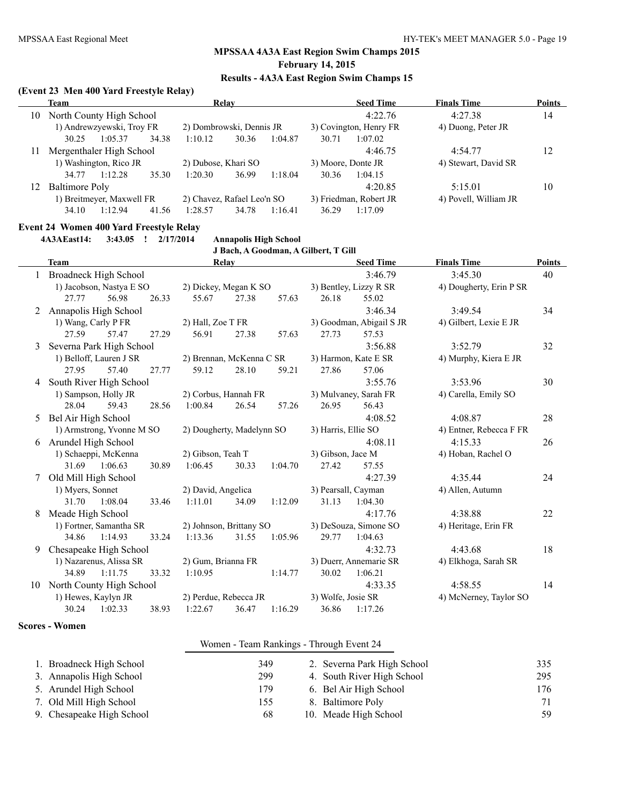#### **(Event 23 Men 400 Yard Freestyle Relay)**

|     | Team                      |                          |       |                            | Relay |         |                        | <b>Seed Time</b> | <b>Finals Time</b>    | <b>Points</b> |
|-----|---------------------------|--------------------------|-------|----------------------------|-------|---------|------------------------|------------------|-----------------------|---------------|
| 10  |                           | North County High School |       |                            |       |         |                        | 4:22.76          | 4:27.38               | 14            |
|     | 1) Andrewzyewski, Troy FR |                          |       | 2) Dombrowski, Dennis JR   |       |         | 3) Covington, Henry FR |                  | 4) Duong, Peter JR    |               |
|     | 30.25                     | 1:05.37                  | 34.38 | 1:10.12                    | 30.36 | 1:04.87 | 30.71                  | 1:07.02          |                       |               |
|     |                           | Mergenthaler High School |       |                            |       |         |                        | 4:46.75          | 4:54.77               | 12            |
|     | 1) Washington, Rico JR    |                          |       | 2) Dubose, Khari SO        |       |         | 3) Moore, Donte JR     |                  | 4) Stewart, David SR  |               |
|     | 34.77                     | 1:12.28                  | 35.30 | 1:20.30                    | 36.99 | 1:18.04 | 30.36                  | 1:04.15          |                       |               |
| l 2 | Baltimore Poly            |                          |       |                            |       |         |                        | 4:20.85          | 5:15.01               | 10            |
|     | 1) Breitmeyer, Maxwell FR |                          |       | 2) Chavez, Rafael Leo'n SO |       |         | 3) Friedman, Robert JR |                  | 4) Povell, William JR |               |
|     | 34.10                     | 1:12.94                  | 41.56 | 1:28.57                    | 34.78 | 1:16.41 | 36.29                  | 1:17.09          |                       |               |

#### **Event 24 Women 400 Yard Freestyle Relay**

**4A3AEast14: 3:43.05 ! 2/17/2014 Annapolis High School**

|    |                              |                     |       |                           |       |                     | J Bach, A Goodman, A Gilbert, T Gill |                         |                         |               |
|----|------------------------------|---------------------|-------|---------------------------|-------|---------------------|--------------------------------------|-------------------------|-------------------------|---------------|
|    | <b>Team</b>                  |                     |       |                           | Relay |                     |                                      | <b>Seed Time</b>        | <b>Finals Time</b>      | <b>Points</b> |
|    | <b>Broadneck High School</b> |                     |       |                           |       |                     |                                      | 3:46.79                 | 3:45.30                 | 40            |
|    | 1) Jacobson, Nastya E SO     |                     |       | 2) Dickey, Megan K SO     |       |                     | 3) Bentley, Lizzy R SR               |                         | 4) Dougherty, Erin P SR |               |
|    | 27.77                        | 56.98               | 26.33 | 55.67                     | 27.38 | 57.63               | 26.18                                | 55.02                   |                         |               |
| 2  | Annapolis High School        |                     |       |                           |       |                     |                                      | 3:46.34                 | 3:49.54                 | 34            |
|    | 1) Wang, Carly P FR          |                     |       | 2) Hall, Zoe T FR         |       |                     | 3) Goodman, Abigail S JR             |                         | 4) Gilbert, Lexie E JR  |               |
|    | 27.59                        | 57.47               | 27.29 | 56.91                     | 27.38 | 57.63               | 27.73                                | 57.53                   |                         |               |
| 3  | Severna Park High School     |                     |       |                           |       |                     |                                      | 3:56.88                 | 3:52.79                 | 32            |
|    | 1) Belloff, Lauren J SR      |                     |       | 2) Brennan, McKenna C SR  |       |                     | 3) Harmon, Kate E SR                 |                         | 4) Murphy, Kiera E JR   |               |
|    | 27.95                        | 57.40               | 27.77 | 59.12                     | 28.10 | 59.21               | 27.86                                | 57.06                   |                         |               |
| 4  | South River High School      |                     |       |                           |       |                     |                                      | 3:55.76                 | 3:53.96                 | 30            |
|    | 1) Sampson, Holly JR         |                     |       | 2) Corbus, Hannah FR      |       |                     | 3) Mulvaney, Sarah FR                |                         | 4) Carella, Emily SO    |               |
|    | 28.04                        | 59.43               | 28.56 | 1:00.84                   | 26.54 | 57.26               | 26.95                                | 56.43                   |                         |               |
| 5  | Bel Air High School          |                     |       |                           |       |                     |                                      | 4:08.52                 | 4:08.87                 | 28            |
|    | 1) Armstrong, Yvonne M SO    |                     |       | 2) Dougherty, Madelynn SO |       | 3) Harris, Ellie SO |                                      | 4) Entner, Rebecca F FR |                         |               |
| 6  | Arundel High School          |                     |       |                           |       |                     |                                      | 4:08.11                 | 4:15.33                 | 26            |
|    | 1) Schaeppi, McKenna         |                     |       | 2) Gibson, Teah T         |       |                     | 3) Gibson, Jace M                    |                         | 4) Hoban, Rachel O      |               |
|    | 31.69                        | 1:06.63             | 30.89 | 1:06.45                   | 30.33 | 1:04.70             | 27.42                                | 57.55                   |                         |               |
| 7  | Old Mill High School         |                     |       |                           |       |                     |                                      | 4:27.39                 | 4:35.44                 | 24            |
|    | 1) Myers, Sonnet             |                     |       | 2) David, Angelica        |       | 3) Pearsall, Cayman |                                      | 4) Allen, Autumn        |                         |               |
|    | 31.70                        | 1:08.04             | 33.46 | 1:11.01                   | 34.09 | 1:12.09             | 31.13                                | 1:04.30                 |                         |               |
| 8  | Meade High School            |                     |       |                           |       |                     |                                      | 4:17.76                 | 4:38.88                 | 22            |
|    | 1) Fortner, Samantha SR      |                     |       | 2) Johnson, Brittany SO   |       |                     | 3) DeSouza, Simone SO                |                         | 4) Heritage, Erin FR    |               |
|    | 34.86                        | 1:14.93             | 33.24 | 1:13.36                   | 31.55 | 1:05.96             | 29.77                                | 1:04.63                 |                         |               |
| 9  | Chesapeake High School       |                     |       |                           |       |                     |                                      | 4:32.73                 | 4:43.68                 | 18            |
|    | 1) Nazarenus, Alissa SR      |                     |       | 2) Gum, Brianna FR        |       |                     | 3) Duerr, Annemarie SR               |                         | 4) Elkhoga, Sarah SR    |               |
|    | 34.89                        | 1:11.75             | 33.32 | 1:10.95                   |       | 1:14.77             | 30.02                                | 1:06.21                 |                         |               |
| 10 | North County High School     |                     |       |                           |       |                     |                                      | 4:33.35                 | 4:58.55                 | 14            |
|    |                              | 1) Hewes, Kaylyn JR |       | 2) Perdue, Rebecca JR     |       |                     | 3) Wolfe, Josie SR                   |                         | 4) McNerney, Taylor SO  |               |
|    | 30.24                        | 1:02.33             | 38.93 | 1:22.67                   | 36.47 | 1:16.29             | 36.86                                | 1:17.26                 |                         |               |

**Scores - Women**

#### Women - Team Rankings - Through Event 24

| 1. Broadneck High School  | 349. | 2. Severna Park High School | 335 |
|---------------------------|------|-----------------------------|-----|
| 3. Annapolis High School  | 299  | 4. South River High School  | 295 |
| 5. Arundel High School    | 179  | 6. Bel Air High School      | 176 |
| 7. Old Mill High School   | 155  | 8. Baltimore Poly           | 71  |
| 9. Chesapeake High School | 68   | 10. Meade High School       | 59  |